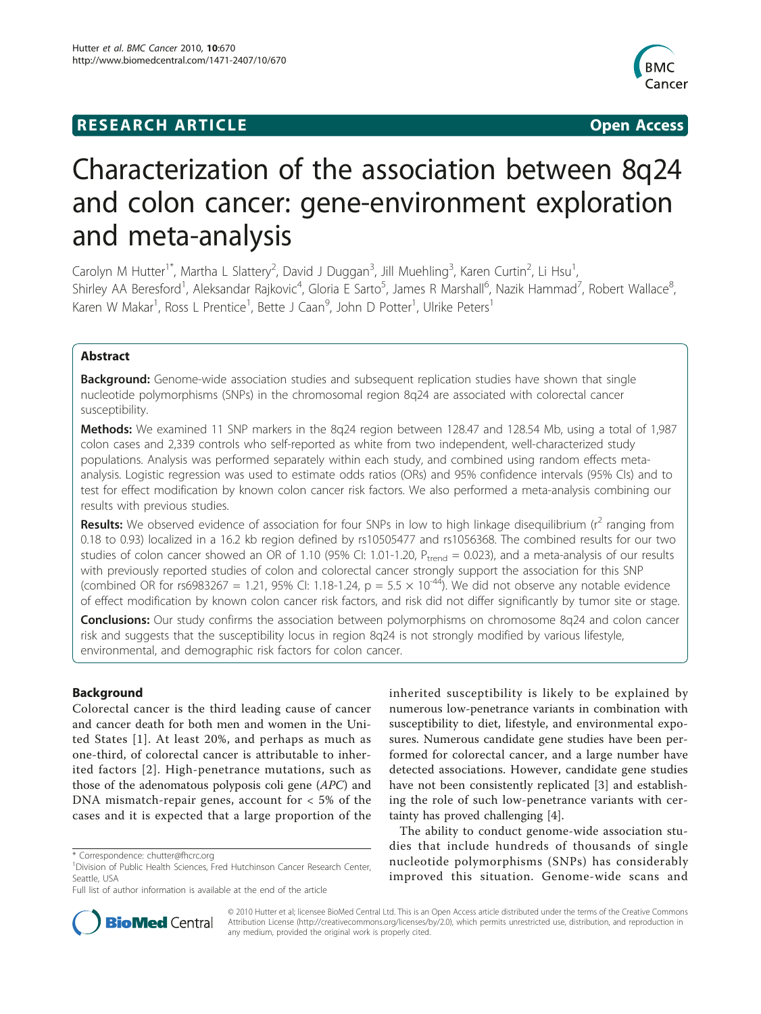## **RESEARCH ARTICLE Example 2018 CONSUMING ACCESS**



# Characterization of the association between 8q24 and colon cancer: gene-environment exploration and meta-analysis

Carolyn M Hutter<sup>1\*</sup>, Martha L Slattery<sup>2</sup>, David J Duggan<sup>3</sup>, Jill Muehling<sup>3</sup>, Karen Curtin<sup>2</sup>, Li Hsu<sup>1</sup> , Shirley AA Beresford<sup>1</sup>, Aleksandar Rajkovic<sup>4</sup>, Gloria E Sarto<sup>5</sup>, James R Marshall<sup>6</sup>, Nazik Hammad<sup>7</sup>, Robert Wallace<sup>8</sup> , Karen W Makar<sup>1</sup>, Ross L Prentice<sup>1</sup>, Bette J Caan<sup>9</sup>, John D Potter<sup>1</sup>, Ulrike Peters<sup>1</sup>

## Abstract

Background: Genome-wide association studies and subsequent replication studies have shown that single nucleotide polymorphisms (SNPs) in the chromosomal region 8q24 are associated with colorectal cancer susceptibility.

Methods: We examined 11 SNP markers in the 8q24 region between 128.47 and 128.54 Mb, using a total of 1,987 colon cases and 2,339 controls who self-reported as white from two independent, well-characterized study populations. Analysis was performed separately within each study, and combined using random effects metaanalysis. Logistic regression was used to estimate odds ratios (ORs) and 95% confidence intervals (95% CIs) and to test for effect modification by known colon cancer risk factors. We also performed a meta-analysis combining our results with previous studies.

**Results:** We observed evidence of association for four SNPs in low to high linkage disequilibrium ( $r^2$  ranging from 0.18 to 0.93) localized in a 16.2 kb region defined by rs10505477 and rs1056368. The combined results for our two studies of colon cancer showed an OR of 1.10 (95% CI: 1.01-1.20,  $P_{trend} = 0.023$ ), and a meta-analysis of our results with previously reported studies of colon and colorectal cancer strongly support the association for this SNP (combined OR for rs6983267 = 1.21, 95% CI: 1.18-1.24,  $p = 5.5 \times 10^{-44}$ ). We did not observe any notable evidence of effect modification by known colon cancer risk factors, and risk did not differ significantly by tumor site or stage.

Conclusions: Our study confirms the association between polymorphisms on chromosome 8q24 and colon cancer risk and suggests that the susceptibility locus in region 8q24 is not strongly modified by various lifestyle, environmental, and demographic risk factors for colon cancer.

## **Background**

Colorectal cancer is the third leading cause of cancer and cancer death for both men and women in the United States [[1](#page-12-0)]. At least 20%, and perhaps as much as one-third, of colorectal cancer is attributable to inherited factors [\[2\]](#page-12-0). High-penetrance mutations, such as those of the adenomatous polyposis coli gene (APC) and DNA mismatch-repair genes, account for < 5% of the cases and it is expected that a large proportion of the inherited susceptibility is likely to be explained by numerous low-penetrance variants in combination with susceptibility to diet, lifestyle, and environmental exposures. Numerous candidate gene studies have been performed for colorectal cancer, and a large number have detected associations. However, candidate gene studies have not been consistently replicated [\[3](#page-12-0)] and establishing the role of such low-penetrance variants with certainty has proved challenging [\[4](#page-12-0)].

The ability to conduct genome-wide association studies that include hundreds of thousands of single nucleotide polymorphisms (SNPs) has considerably improved this situation. Genome-wide scans and



© 2010 Hutter et al; licensee BioMed Central Ltd. This is an Open Access article distributed under the terms of the Creative Commons Attribution License [\(http://creativecommons.org/licenses/by/2.0](http://creativecommons.org/licenses/by/2.0)), which permits unrestricted use, distribution, and reproduction in any medium, provided the original work is properly cited.

<sup>\*</sup> Correspondence: [chutter@fhcrc.org](mailto:chutter@fhcrc.org)

<sup>&</sup>lt;sup>1</sup> Division of Public Health Sciences, Fred Hutchinson Cancer Research Center, Seattle, USA

Full list of author information is available at the end of the article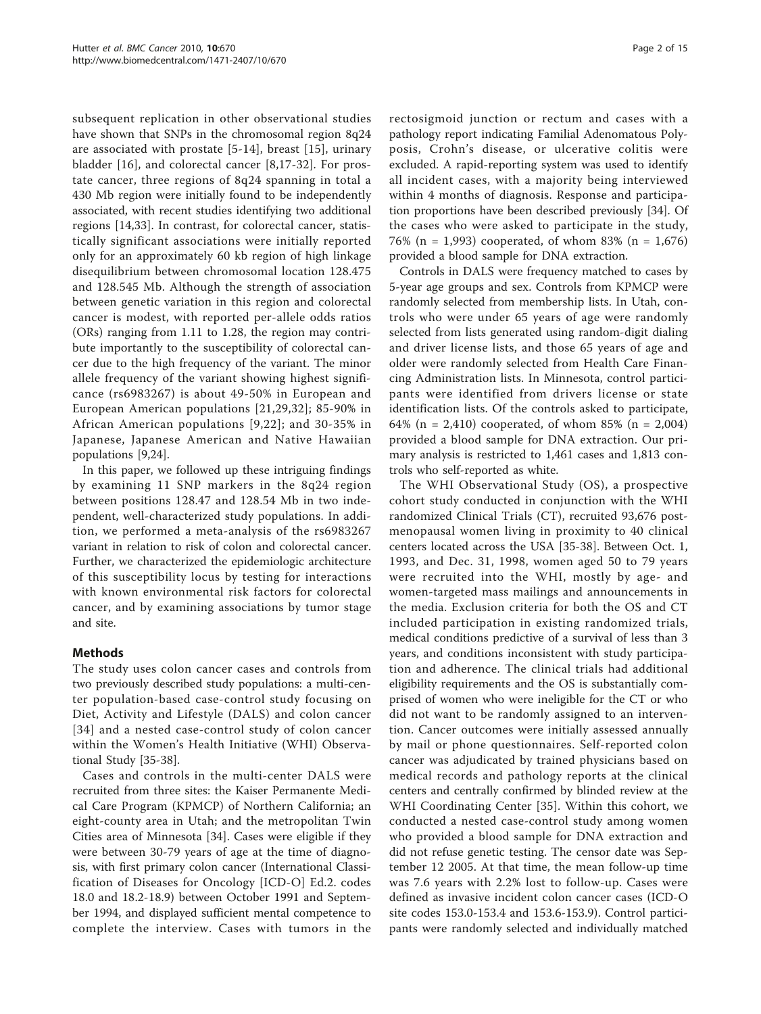subsequent replication in other observational studies have shown that SNPs in the chromosomal region 8q24 are associated with prostate [\[5-14](#page-12-0)], breast [\[15](#page-12-0)], urinary bladder [[16\]](#page-12-0), and colorectal cancer [[8,17](#page-12-0)-[32](#page-13-0)]. For prostate cancer, three regions of 8q24 spanning in total a 430 Mb region were initially found to be independently associated, with recent studies identifying two additional regions [\[14](#page-12-0)[,33](#page-13-0)]. In contrast, for colorectal cancer, statistically significant associations were initially reported only for an approximately 60 kb region of high linkage disequilibrium between chromosomal location 128.475 and 128.545 Mb. Although the strength of association between genetic variation in this region and colorectal cancer is modest, with reported per-allele odds ratios (ORs) ranging from 1.11 to 1.28, the region may contribute importantly to the susceptibility of colorectal cancer due to the high frequency of the variant. The minor allele frequency of the variant showing highest significance (rs6983267) is about 49-50% in European and European American populations [[21](#page-12-0),[29,32](#page-13-0)]; 85-90% in African American populations [[9,22\]](#page-12-0); and 30-35% in Japanese, Japanese American and Native Hawaiian populations [[9,24](#page-12-0)].

In this paper, we followed up these intriguing findings by examining 11 SNP markers in the 8q24 region between positions 128.47 and 128.54 Mb in two independent, well-characterized study populations. In addition, we performed a meta-analysis of the rs6983267 variant in relation to risk of colon and colorectal cancer. Further, we characterized the epidemiologic architecture of this susceptibility locus by testing for interactions with known environmental risk factors for colorectal cancer, and by examining associations by tumor stage and site.

## Methods

The study uses colon cancer cases and controls from two previously described study populations: a multi-center population-based case-control study focusing on Diet, Activity and Lifestyle (DALS) and colon cancer [[34\]](#page-13-0) and a nested case-control study of colon cancer within the Women's Health Initiative (WHI) Observational Study [\[35](#page-13-0)-[38](#page-13-0)].

Cases and controls in the multi-center DALS were recruited from three sites: the Kaiser Permanente Medical Care Program (KPMCP) of Northern California; an eight-county area in Utah; and the metropolitan Twin Cities area of Minnesota [[34\]](#page-13-0). Cases were eligible if they were between 30-79 years of age at the time of diagnosis, with first primary colon cancer (International Classification of Diseases for Oncology [ICD-O] Ed.2. codes 18.0 and 18.2-18.9) between October 1991 and September 1994, and displayed sufficient mental competence to complete the interview. Cases with tumors in the rectosigmoid junction or rectum and cases with a pathology report indicating Familial Adenomatous Polyposis, Crohn's disease, or ulcerative colitis were excluded. A rapid-reporting system was used to identify all incident cases, with a majority being interviewed within 4 months of diagnosis. Response and participation proportions have been described previously [[34](#page-13-0)]. Of the cases who were asked to participate in the study, 76% (n = 1,993) cooperated, of whom 83% (n = 1,676) provided a blood sample for DNA extraction.

Controls in DALS were frequency matched to cases by 5-year age groups and sex. Controls from KPMCP were randomly selected from membership lists. In Utah, controls who were under 65 years of age were randomly selected from lists generated using random-digit dialing and driver license lists, and those 65 years of age and older were randomly selected from Health Care Financing Administration lists. In Minnesota, control participants were identified from drivers license or state identification lists. Of the controls asked to participate, 64% (n = 2,410) cooperated, of whom 85% (n = 2,004) provided a blood sample for DNA extraction. Our primary analysis is restricted to 1,461 cases and 1,813 controls who self-reported as white.

The WHI Observational Study (OS), a prospective cohort study conducted in conjunction with the WHI randomized Clinical Trials (CT), recruited 93,676 postmenopausal women living in proximity to 40 clinical centers located across the USA [[35-38](#page-13-0)]. Between Oct. 1, 1993, and Dec. 31, 1998, women aged 50 to 79 years were recruited into the WHI, mostly by age- and women-targeted mass mailings and announcements in the media. Exclusion criteria for both the OS and CT included participation in existing randomized trials, medical conditions predictive of a survival of less than 3 years, and conditions inconsistent with study participation and adherence. The clinical trials had additional eligibility requirements and the OS is substantially comprised of women who were ineligible for the CT or who did not want to be randomly assigned to an intervention. Cancer outcomes were initially assessed annually by mail or phone questionnaires. Self-reported colon cancer was adjudicated by trained physicians based on medical records and pathology reports at the clinical centers and centrally confirmed by blinded review at the WHI Coordinating Center [\[35](#page-13-0)]. Within this cohort, we conducted a nested case-control study among women who provided a blood sample for DNA extraction and did not refuse genetic testing. The censor date was September 12 2005. At that time, the mean follow-up time was 7.6 years with 2.2% lost to follow-up. Cases were defined as invasive incident colon cancer cases (ICD-O site codes 153.0-153.4 and 153.6-153.9). Control participants were randomly selected and individually matched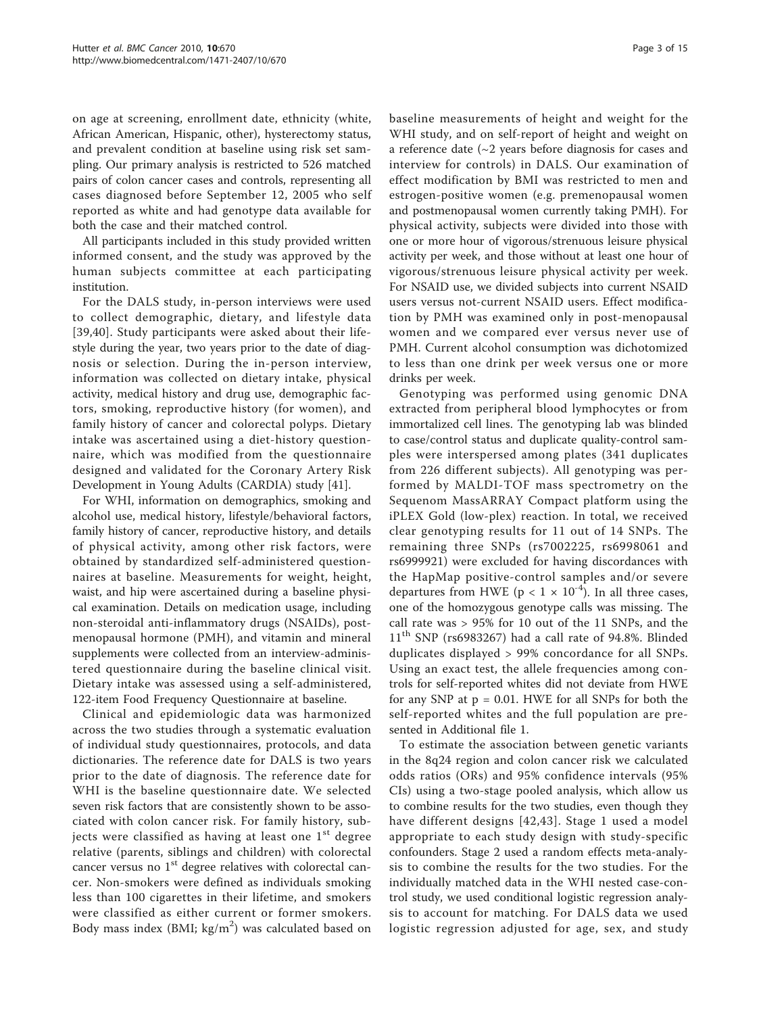on age at screening, enrollment date, ethnicity (white, African American, Hispanic, other), hysterectomy status, and prevalent condition at baseline using risk set sampling. Our primary analysis is restricted to 526 matched pairs of colon cancer cases and controls, representing all cases diagnosed before September 12, 2005 who self reported as white and had genotype data available for both the case and their matched control.

All participants included in this study provided written informed consent, and the study was approved by the human subjects committee at each participating institution.

For the DALS study, in-person interviews were used to collect demographic, dietary, and lifestyle data [[39](#page-13-0),[40\]](#page-13-0). Study participants were asked about their lifestyle during the year, two years prior to the date of diagnosis or selection. During the in-person interview, information was collected on dietary intake, physical activity, medical history and drug use, demographic factors, smoking, reproductive history (for women), and family history of cancer and colorectal polyps. Dietary intake was ascertained using a diet-history questionnaire, which was modified from the questionnaire designed and validated for the Coronary Artery Risk Development in Young Adults (CARDIA) study [[41\]](#page-13-0).

For WHI, information on demographics, smoking and alcohol use, medical history, lifestyle/behavioral factors, family history of cancer, reproductive history, and details of physical activity, among other risk factors, were obtained by standardized self-administered questionnaires at baseline. Measurements for weight, height, waist, and hip were ascertained during a baseline physical examination. Details on medication usage, including non-steroidal anti-inflammatory drugs (NSAIDs), postmenopausal hormone (PMH), and vitamin and mineral supplements were collected from an interview-administered questionnaire during the baseline clinical visit. Dietary intake was assessed using a self-administered, 122-item Food Frequency Questionnaire at baseline.

Clinical and epidemiologic data was harmonized across the two studies through a systematic evaluation of individual study questionnaires, protocols, and data dictionaries. The reference date for DALS is two years prior to the date of diagnosis. The reference date for WHI is the baseline questionnaire date. We selected seven risk factors that are consistently shown to be associated with colon cancer risk. For family history, subjects were classified as having at least one 1<sup>st</sup> degree relative (parents, siblings and children) with colorectal cancer versus no  $1<sup>st</sup>$  degree relatives with colorectal cancer. Non-smokers were defined as individuals smoking less than 100 cigarettes in their lifetime, and smokers were classified as either current or former smokers. Body mass index (BMI;  $\text{kg/m}^2$ ) was calculated based on

baseline measurements of height and weight for the WHI study, and on self-report of height and weight on a reference date (~2 years before diagnosis for cases and interview for controls) in DALS. Our examination of effect modification by BMI was restricted to men and estrogen-positive women (e.g. premenopausal women and postmenopausal women currently taking PMH). For physical activity, subjects were divided into those with one or more hour of vigorous/strenuous leisure physical activity per week, and those without at least one hour of vigorous/strenuous leisure physical activity per week. For NSAID use, we divided subjects into current NSAID users versus not-current NSAID users. Effect modification by PMH was examined only in post-menopausal women and we compared ever versus never use of PMH. Current alcohol consumption was dichotomized to less than one drink per week versus one or more drinks per week.

Genotyping was performed using genomic DNA extracted from peripheral blood lymphocytes or from immortalized cell lines. The genotyping lab was blinded to case/control status and duplicate quality-control samples were interspersed among plates (341 duplicates from 226 different subjects). All genotyping was performed by MALDI-TOF mass spectrometry on the Sequenom MassARRAY Compact platform using the iPLEX Gold (low-plex) reaction. In total, we received clear genotyping results for 11 out of 14 SNPs. The remaining three SNPs (rs7002225, rs6998061 and rs6999921) were excluded for having discordances with the HapMap positive-control samples and/or severe departures from HWE ( $p < 1 \times 10^{-4}$ ). In all three cases, one of the homozygous genotype calls was missing. The call rate was > 95% for 10 out of the 11 SNPs, and the  $11<sup>th</sup>$  SNP (rs6983267) had a call rate of 94.8%. Blinded duplicates displayed > 99% concordance for all SNPs. Using an exact test, the allele frequencies among controls for self-reported whites did not deviate from HWE for any SNP at  $p = 0.01$ . HWE for all SNPs for both the self-reported whites and the full population are presented in Additional file [1.](#page-11-0)

To estimate the association between genetic variants in the 8q24 region and colon cancer risk we calculated odds ratios (ORs) and 95% confidence intervals (95% CIs) using a two-stage pooled analysis, which allow us to combine results for the two studies, even though they have different designs [[42](#page-13-0),[43](#page-13-0)]. Stage 1 used a model appropriate to each study design with study-specific confounders. Stage 2 used a random effects meta-analysis to combine the results for the two studies. For the individually matched data in the WHI nested case-control study, we used conditional logistic regression analysis to account for matching. For DALS data we used logistic regression adjusted for age, sex, and study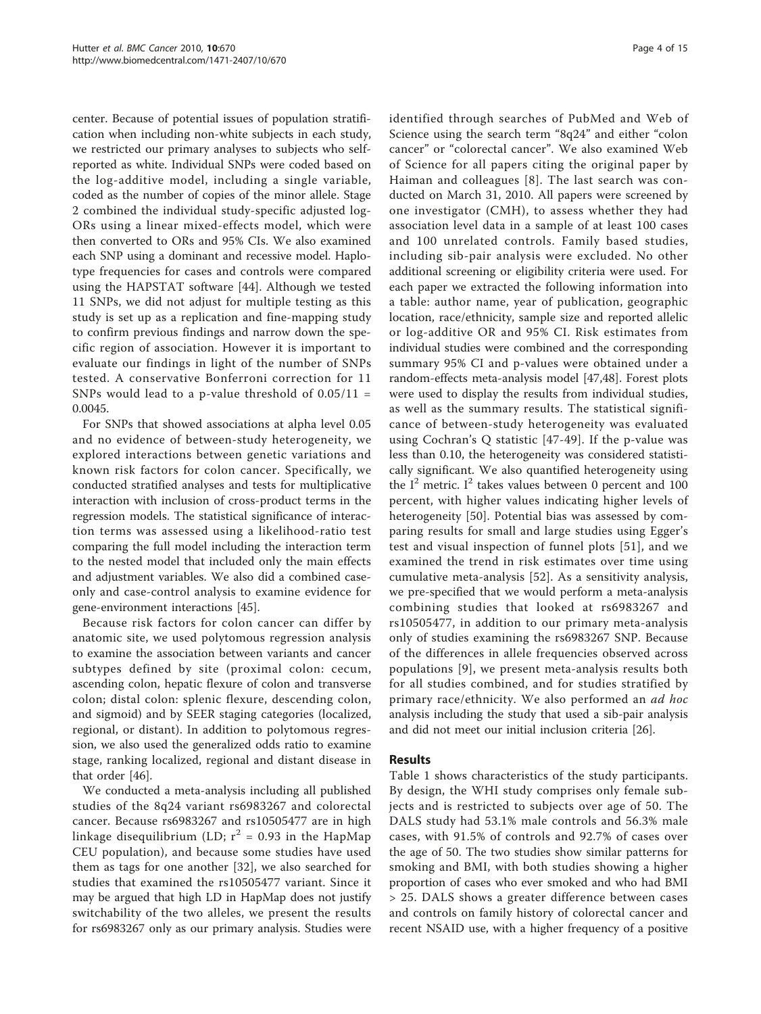center. Because of potential issues of population stratification when including non-white subjects in each study, we restricted our primary analyses to subjects who selfreported as white. Individual SNPs were coded based on the log-additive model, including a single variable, coded as the number of copies of the minor allele. Stage 2 combined the individual study-specific adjusted log-ORs using a linear mixed-effects model, which were then converted to ORs and 95% CIs. We also examined each SNP using a dominant and recessive model. Haplotype frequencies for cases and controls were compared using the HAPSTAT software [[44\]](#page-13-0). Although we tested 11 SNPs, we did not adjust for multiple testing as this study is set up as a replication and fine-mapping study to confirm previous findings and narrow down the specific region of association. However it is important to evaluate our findings in light of the number of SNPs tested. A conservative Bonferroni correction for 11 SNPs would lead to a p-value threshold of  $0.05/11$  = 0.0045.

For SNPs that showed associations at alpha level 0.05 and no evidence of between-study heterogeneity, we explored interactions between genetic variations and known risk factors for colon cancer. Specifically, we conducted stratified analyses and tests for multiplicative interaction with inclusion of cross-product terms in the regression models. The statistical significance of interaction terms was assessed using a likelihood-ratio test comparing the full model including the interaction term to the nested model that included only the main effects and adjustment variables. We also did a combined caseonly and case-control analysis to examine evidence for gene-environment interactions [[45](#page-13-0)].

Because risk factors for colon cancer can differ by anatomic site, we used polytomous regression analysis to examine the association between variants and cancer subtypes defined by site (proximal colon: cecum, ascending colon, hepatic flexure of colon and transverse colon; distal colon: splenic flexure, descending colon, and sigmoid) and by SEER staging categories (localized, regional, or distant). In addition to polytomous regression, we also used the generalized odds ratio to examine stage, ranking localized, regional and distant disease in that order [\[46](#page-13-0)].

We conducted a meta-analysis including all published studies of the 8q24 variant rs6983267 and colorectal cancer. Because rs6983267 and rs10505477 are in high linkage disequilibrium (LD;  $r^2$  = 0.93 in the HapMap CEU population), and because some studies have used them as tags for one another [[32\]](#page-13-0), we also searched for studies that examined the rs10505477 variant. Since it may be argued that high LD in HapMap does not justify switchability of the two alleles, we present the results for rs6983267 only as our primary analysis. Studies were identified through searches of PubMed and Web of Science using the search term "8q24" and either "colon cancer" or "colorectal cancer". We also examined Web of Science for all papers citing the original paper by Haiman and colleagues [[8](#page-12-0)]. The last search was conducted on March 31, 2010. All papers were screened by one investigator (CMH), to assess whether they had association level data in a sample of at least 100 cases and 100 unrelated controls. Family based studies, including sib-pair analysis were excluded. No other additional screening or eligibility criteria were used. For each paper we extracted the following information into a table: author name, year of publication, geographic location, race/ethnicity, sample size and reported allelic or log-additive OR and 95% CI. Risk estimates from individual studies were combined and the corresponding summary 95% CI and p-values were obtained under a random-effects meta-analysis model [[47,48\]](#page-13-0). Forest plots were used to display the results from individual studies, as well as the summary results. The statistical significance of between-study heterogeneity was evaluated using Cochran's Q statistic [[47](#page-13-0)-[49](#page-13-0)]. If the p-value was less than 0.10, the heterogeneity was considered statistically significant. We also quantified heterogeneity using the  $I^2$  metric.  $I^2$  takes values between 0 percent and 100 percent, with higher values indicating higher levels of heterogeneity [[50](#page-13-0)]. Potential bias was assessed by comparing results for small and large studies using Egger's test and visual inspection of funnel plots [[51\]](#page-13-0), and we examined the trend in risk estimates over time using cumulative meta-analysis [[52\]](#page-13-0). As a sensitivity analysis, we pre-specified that we would perform a meta-analysis combining studies that looked at rs6983267 and rs10505477, in addition to our primary meta-analysis only of studies examining the rs6983267 SNP. Because of the differences in allele frequencies observed across populations [[9\]](#page-12-0), we present meta-analysis results both for all studies combined, and for studies stratified by primary race/ethnicity. We also performed an *ad hoc* analysis including the study that used a sib-pair analysis and did not meet our initial inclusion criteria [\[26\]](#page-13-0).

## Results

Table [1](#page-4-0) shows characteristics of the study participants. By design, the WHI study comprises only female subjects and is restricted to subjects over age of 50. The DALS study had 53.1% male controls and 56.3% male cases, with 91.5% of controls and 92.7% of cases over the age of 50. The two studies show similar patterns for smoking and BMI, with both studies showing a higher proportion of cases who ever smoked and who had BMI > 25. DALS shows a greater difference between cases and controls on family history of colorectal cancer and recent NSAID use, with a higher frequency of a positive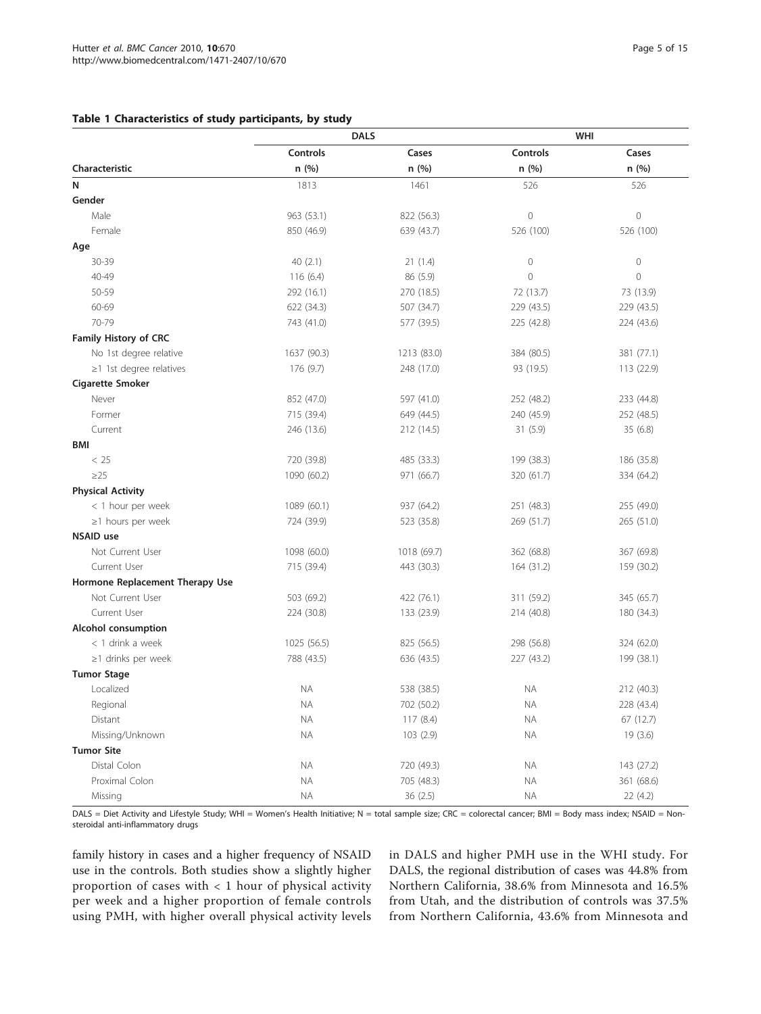## <span id="page-4-0"></span>Table 1 Characteristics of study participants, by study

|                                 |             | <b>DALS</b> | WHI          |             |  |  |  |
|---------------------------------|-------------|-------------|--------------|-------------|--|--|--|
|                                 | Controls    | Cases       | Controls     | Cases       |  |  |  |
| Characteristic                  | n(%)        | n (%)       | n(%)         | n (%)       |  |  |  |
| N                               | 1813        | 1461        | 526          | 526         |  |  |  |
| Gender                          |             |             |              |             |  |  |  |
| Male                            | 963 (53.1)  | 822 (56.3)  | $\circ$      | $\mathbf 0$ |  |  |  |
| Female                          | 850 (46.9)  | 639 (43.7)  | 526 (100)    | 526 (100)   |  |  |  |
| Age                             |             |             |              |             |  |  |  |
| 30-39                           | 40(2.1)     | 21(1.4)     | $\circ$      | $\circ$     |  |  |  |
| 40-49                           | 116(6.4)    | 86 (5.9)    | $\mathbf{0}$ | $\mathbf 0$ |  |  |  |
| 50-59                           | 292 (16.1)  | 270 (18.5)  | 72 (13.7)    | 73 (13.9)   |  |  |  |
| 60-69                           | 622 (34.3)  | 507 (34.7)  | 229 (43.5)   | 229 (43.5)  |  |  |  |
| 70-79                           | 743 (41.0)  | 577 (39.5)  | 225 (42.8)   | 224 (43.6)  |  |  |  |
| Family History of CRC           |             |             |              |             |  |  |  |
| No 1st degree relative          | 1637 (90.3) | 1213 (83.0) | 384 (80.5)   | 381 (77.1)  |  |  |  |
| $\geq$ 1 1st degree relatives   | 176 (9.7)   | 248 (17.0)  | 93 (19.5)    | 113 (22.9)  |  |  |  |
| <b>Cigarette Smoker</b>         |             |             |              |             |  |  |  |
| Never                           | 852 (47.0)  | 597 (41.0)  | 252 (48.2)   | 233 (44.8)  |  |  |  |
| Former                          | 715 (39.4)  | 649 (44.5)  | 240 (45.9)   | 252 (48.5)  |  |  |  |
| Current                         | 246 (13.6)  | 212 (14.5)  | 31(5.9)      | 35(6.8)     |  |  |  |
| BMI                             |             |             |              |             |  |  |  |
| < 25                            | 720 (39.8)  | 485 (33.3)  | 199 (38.3)   | 186 (35.8)  |  |  |  |
| $\geq$ 25                       | 1090 (60.2) | 971 (66.7)  | 320 (61.7)   | 334 (64.2)  |  |  |  |
| <b>Physical Activity</b>        |             |             |              |             |  |  |  |
| < 1 hour per week               | 1089 (60.1) | 937 (64.2)  | 251 (48.3)   | 255 (49.0)  |  |  |  |
| $\geq$ 1 hours per week         | 724 (39.9)  | 523 (35.8)  | 269 (51.7)   | 265 (51.0)  |  |  |  |
| <b>NSAID</b> use                |             |             |              |             |  |  |  |
| Not Current User                | 1098 (60.0) | 1018 (69.7) | 362 (68.8)   | 367 (69.8)  |  |  |  |
| Current User                    | 715 (39.4)  | 443 (30.3)  | 164 (31.2)   | 159 (30.2)  |  |  |  |
| Hormone Replacement Therapy Use |             |             |              |             |  |  |  |
| Not Current User                | 503 (69.2)  | 422 (76.1)  | 311 (59.2)   | 345 (65.7)  |  |  |  |
| Current User                    | 224 (30.8)  | 133 (23.9)  | 214 (40.8)   | 180 (34.3)  |  |  |  |
| Alcohol consumption             |             |             |              |             |  |  |  |
| < 1 drink a week                | 1025 (56.5) | 825 (56.5)  | 298 (56.8)   | 324 (62.0)  |  |  |  |
| ≥1 drinks per week              | 788 (43.5)  | 636 (43.5)  | 227 (43.2)   | 199 (38.1)  |  |  |  |
| <b>Tumor Stage</b>              |             |             |              |             |  |  |  |
| Localized                       | <b>NA</b>   | 538 (38.5)  | <b>NA</b>    | 212 (40.3)  |  |  |  |
| Regional                        | <b>NA</b>   | 702 (50.2)  | <b>NA</b>    | 228 (43.4)  |  |  |  |
| Distant                         | <b>NA</b>   | 117 (8.4)   | <b>NA</b>    | 67 (12.7)   |  |  |  |
| Missing/Unknown                 | <b>NA</b>   | 103 (2.9)   | <b>NA</b>    | 19 (3.6)    |  |  |  |
| <b>Tumor Site</b>               |             |             |              |             |  |  |  |
| Distal Colon                    | <b>NA</b>   | 720 (49.3)  | <b>NA</b>    | 143 (27.2)  |  |  |  |
| Proximal Colon                  | <b>NA</b>   | 705 (48.3)  | <b>NA</b>    | 361 (68.6)  |  |  |  |
| Missing                         | <b>NA</b>   | 36 (2.5)    | <b>NA</b>    | 22 (4.2)    |  |  |  |

DALS = Diet Activity and Lifestyle Study; WHI = Women's Health Initiative; N = total sample size; CRC = colorectal cancer; BMI = Body mass index; NSAID = Nonsteroidal anti-inflammatory drugs

family history in cases and a higher frequency of NSAID use in the controls. Both studies show a slightly higher proportion of cases with < 1 hour of physical activity per week and a higher proportion of female controls using PMH, with higher overall physical activity levels in DALS and higher PMH use in the WHI study. For DALS, the regional distribution of cases was 44.8% from Northern California, 38.6% from Minnesota and 16.5% from Utah, and the distribution of controls was 37.5% from Northern California, 43.6% from Minnesota and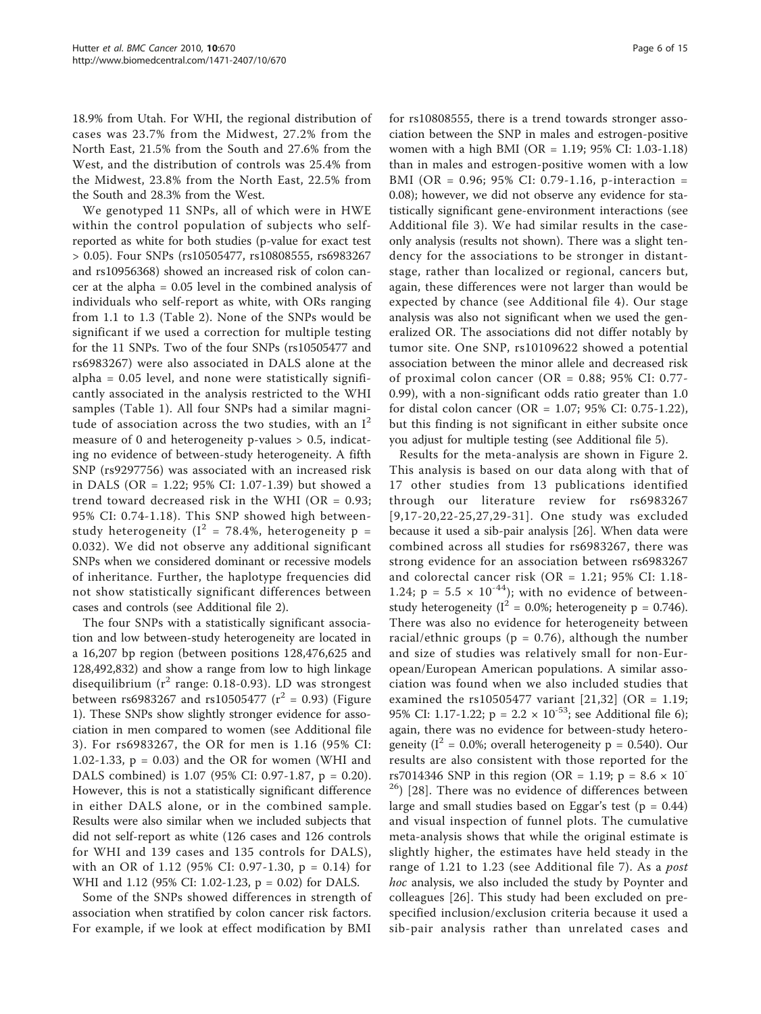18.9% from Utah. For WHI, the regional distribution of cases was 23.7% from the Midwest, 27.2% from the North East, 21.5% from the South and 27.6% from the West, and the distribution of controls was 25.4% from the Midwest, 23.8% from the North East, 22.5% from the South and 28.3% from the West.

We genotyped 11 SNPs, all of which were in HWE within the control population of subjects who selfreported as white for both studies (p-value for exact test > 0.05). Four SNPs (rs10505477, rs10808555, rs6983267 and rs10956368) showed an increased risk of colon cancer at the alpha = 0.05 level in the combined analysis of individuals who self-report as white, with ORs ranging from 1.1 to 1.3 (Table [2\)](#page-6-0). None of the SNPs would be significant if we used a correction for multiple testing for the 11 SNPs. Two of the four SNPs (rs10505477 and rs6983267) were also associated in DALS alone at the alpha = 0.05 level, and none were statistically significantly associated in the analysis restricted to the WHI samples (Table [1](#page-4-0)). All four SNPs had a similar magnitude of association across the two studies, with an  $I^2$ measure of 0 and heterogeneity p-values > 0.5, indicating no evidence of between-study heterogeneity. A fifth SNP (rs9297756) was associated with an increased risk in DALS (OR = 1.22; 95% CI: 1.07-1.39) but showed a trend toward decreased risk in the WHI (OR = 0.93; 95% CI: 0.74-1.18). This SNP showed high betweenstudy heterogeneity ( $I^2$  = 78.4%, heterogeneity p = 0.032). We did not observe any additional significant SNPs when we considered dominant or recessive models of inheritance. Further, the haplotype frequencies did not show statistically significant differences between cases and controls (see Additional file [2\)](#page-11-0).

The four SNPs with a statistically significant association and low between-study heterogeneity are located in a 16,207 bp region (between positions 128,476,625 and 128,492,832) and show a range from low to high linkage disequilibrium  $(r^2 \text{ range: } 0.18 - 0.93)$ . LD was strongest between rs6983267 and rs10505477 ( $r^2$  = 0.93) (Figure [1\)](#page-8-0). These SNPs show slightly stronger evidence for association in men compared to women (see Additional file [3](#page-11-0)). For rs6983267, the OR for men is 1.16 (95% CI: 1.02-1.33,  $p = 0.03$ ) and the OR for women (WHI and DALS combined) is 1.07 (95% CI: 0.97-1.87, p = 0.20). However, this is not a statistically significant difference in either DALS alone, or in the combined sample. Results were also similar when we included subjects that did not self-report as white (126 cases and 126 controls for WHI and 139 cases and 135 controls for DALS), with an OR of 1.12 (95% CI: 0.97-1.30, p = 0.14) for WHI and 1.12 (95% CI: 1.02-1.23, p = 0.02) for DALS.

Some of the SNPs showed differences in strength of association when stratified by colon cancer risk factors. For example, if we look at effect modification by BMI for rs10808555, there is a trend towards stronger association between the SNP in males and estrogen-positive women with a high BMI (OR = 1.19; 95% CI: 1.03-1.18) than in males and estrogen-positive women with a low BMI (OR = 0.96; 95% CI: 0.79-1.16, p-interaction = 0.08); however, we did not observe any evidence for statistically significant gene-environment interactions (see Additional file [3\)](#page-11-0). We had similar results in the caseonly analysis (results not shown). There was a slight tendency for the associations to be stronger in distantstage, rather than localized or regional, cancers but, again, these differences were not larger than would be expected by chance (see Additional file [4](#page-11-0)). Our stage analysis was also not significant when we used the generalized OR. The associations did not differ notably by tumor site. One SNP, rs10109622 showed a potential association between the minor allele and decreased risk of proximal colon cancer (OR =  $0.88$ ; 95% CI: 0.77-0.99), with a non-significant odds ratio greater than 1.0 for distal colon cancer (OR = 1.07; 95% CI: 0.75-1.22), but this finding is not significant in either subsite once you adjust for multiple testing (see Additional file [5\)](#page-11-0).

Results for the meta-analysis are shown in Figure [2](#page-9-0). This analysis is based on our data along with that of 17 other studies from 13 publications identified through our literature review for rs6983267 [[9,17](#page-12-0)-[20,22](#page-12-0)-[25](#page-12-0),[27](#page-13-0),[29-31\]](#page-13-0). One study was excluded because it used a sib-pair analysis [[26](#page-13-0)]. When data were combined across all studies for rs6983267, there was strong evidence for an association between rs6983267 and colorectal cancer risk (OR =  $1.21$ ; 95% CI:  $1.18$ -1.24;  $p = 5.5 \times 10^{-44}$ ); with no evidence of betweenstudy heterogeneity ( $I^2 = 0.0\%$ ; heterogeneity p = 0.746). There was also no evidence for heterogeneity between racial/ethnic groups ( $p = 0.76$ ), although the number and size of studies was relatively small for non-European/European American populations. A similar association was found when we also included studies that examined the rs10505477 variant  $[21,32]$  $[21,32]$  (OR = 1.19; 95% CI: 1.17-1.22;  $p = 2.2 \times 10^{-53}$ ; see Additional file [6](#page-11-0)); again, there was no evidence for between-study heterogeneity ( $I^2 = 0.0\%$ ; overall heterogeneity p = 0.540). Our results are also consistent with those reported for the rs7014346 SNP in this region (OR = 1.19;  $p = 8.6 \times 10^{-7}$  $26$ ) [[28\]](#page-13-0). There was no evidence of differences between large and small studies based on Eggar's test ( $p = 0.44$ ) and visual inspection of funnel plots. The cumulative meta-analysis shows that while the original estimate is slightly higher, the estimates have held steady in the range of 1.21 to 1.23 (see Additional file [7](#page-11-0)). As a *post* hoc analysis, we also included the study by Poynter and colleagues [[26](#page-13-0)]. This study had been excluded on prespecified inclusion/exclusion criteria because it used a sib-pair analysis rather than unrelated cases and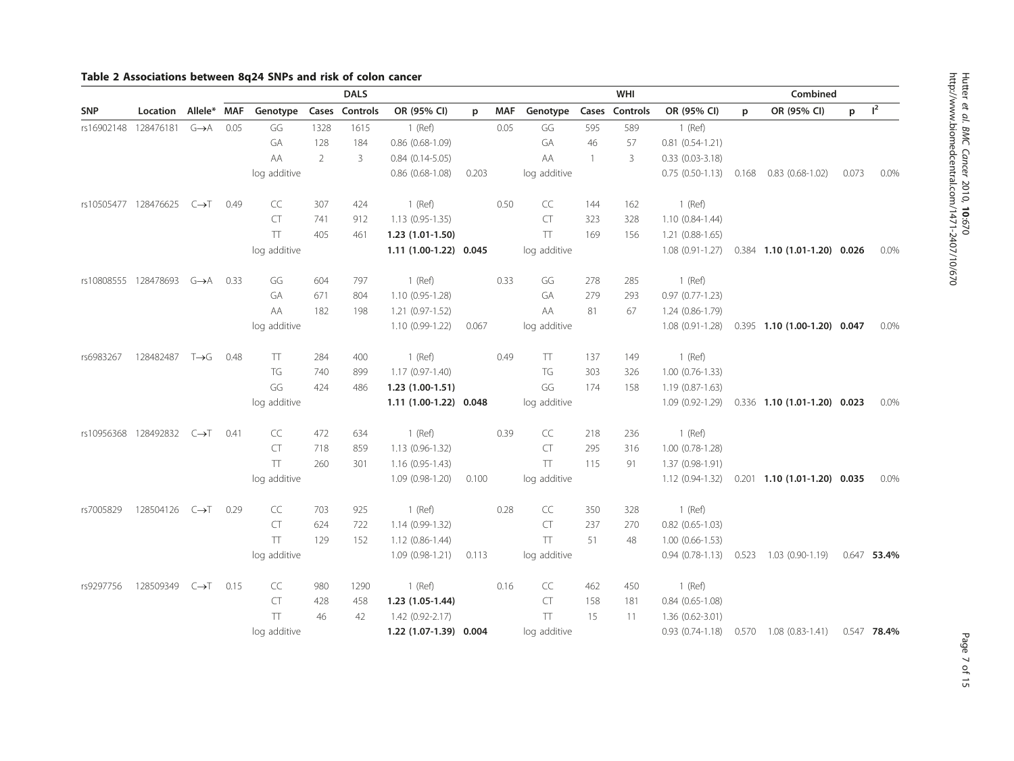## <span id="page-6-0"></span>Table 2 Associations between 8q24 SNPs and risk of colon cancer

|                          |           |                   |            |              |                |          |                        |       |            |                            |                | <b>DALS</b> |                        |       |                                |       |             | WHI |  |  | Combined |  |  |
|--------------------------|-----------|-------------------|------------|--------------|----------------|----------|------------------------|-------|------------|----------------------------|----------------|-------------|------------------------|-------|--------------------------------|-------|-------------|-----|--|--|----------|--|--|
| <b>SNP</b>               | Location  | Allele*           | <b>MAF</b> | Genotype     | Cases          | Controls | OR (95% CI)            | p     | <b>MAF</b> | Genotype                   | Cases          | Controls    | OR (95% CI)            | p     | OR (95% CI)                    | p     | $I^2$       |     |  |  |          |  |  |
| rs16902148               | 128476181 | $G \rightarrow A$ | 0.05       | GG           | 1328           | 1615     | 1 (Ref)                |       | 0.05       | GG                         | 595            | 589         | 1 (Ref)                |       |                                |       |             |     |  |  |          |  |  |
|                          |           |                   |            | GA           | 128            | 184      | $0.86$ $(0.68-1.09)$   |       |            | GA                         | 46             | 57          | $0.81(0.54-1.21)$      |       |                                |       |             |     |  |  |          |  |  |
|                          |           |                   |            | AA           | $\overline{2}$ | 3        | $0.84$ $(0.14 - 5.05)$ |       |            | AA                         | $\overline{1}$ | 3           | $0.33$ $(0.03 - 3.18)$ |       |                                |       |             |     |  |  |          |  |  |
|                          |           |                   |            | log additive |                |          | $0.86$ $(0.68-1.08)$   | 0.203 |            | log additive               |                |             | $0.75(0.50-1.13)$      | 0.168 | $0.83$ $(0.68-1.02)$           | 0.073 | 0.0%        |     |  |  |          |  |  |
| rs10505477 128476625 C→T |           |                   | 0.49       | CC           | 307            | 424      | $1$ (Ref)              |       | 0.50       | CC                         | 144            | 162         | $1$ (Ref)              |       |                                |       |             |     |  |  |          |  |  |
|                          |           |                   |            | CT           | 741            | 912      | $1.13(0.95-1.35)$      |       |            | <b>CT</b>                  | 323            | 328         | 1.10 (0.84-1.44)       |       |                                |       |             |     |  |  |          |  |  |
|                          |           |                   |            | $\top$       | 405            | 461      | $1.23(1.01-1.50)$      |       |            | $\top$                     | 169            | 156         | 1.21 (0.88-1.65)       |       |                                |       |             |     |  |  |          |  |  |
|                          |           |                   |            | log additive |                |          | 1.11 (1.00-1.22) 0.045 |       |            | log additive               |                |             | $1.08(0.91-1.27)$      |       | $0.384$ 1.10 (1.01-1.20) 0.026 |       | 0.0%        |     |  |  |          |  |  |
| rs10808555               | 128478693 | $G \rightarrow A$ | 0.33       | GG           | 604            | 797      | 1 (Ref)                |       | 0.33       | GG                         | 278            | 285         | 1 (Ref)                |       |                                |       |             |     |  |  |          |  |  |
|                          |           |                   |            | GA           | 671            | 804      | 1.10 (0.95-1.28)       |       |            | GA                         | 279            | 293         | $0.97(0.77-1.23)$      |       |                                |       |             |     |  |  |          |  |  |
|                          |           |                   |            | AA           | 182            | 198      | $1.21(0.97-1.52)$      |       |            | AA                         | 81             | 67          | 1.24 (0.86-1.79)       |       |                                |       |             |     |  |  |          |  |  |
|                          |           |                   |            | log additive |                |          | $1.10(0.99-1.22)$      | 0.067 |            | log additive               |                |             | 1.08 (0.91-1.28)       |       | 0.395 1.10 (1.00-1.20) 0.047   |       | 0.0%        |     |  |  |          |  |  |
| rs6983267                | 128482487 | $T\rightarrow G$  | 0.48       | $\top$       | 284            | 400      | $1$ (Ref)              |       | 0.49       | $\top$                     | 137            | 149         | $1$ (Ref)              |       |                                |       |             |     |  |  |          |  |  |
|                          |           |                   |            | TG           | 740            | 899      | 1.17 (0.97-1.40)       |       |            | TG                         | 303            | 326         | $1.00(0.76-1.33)$      |       |                                |       |             |     |  |  |          |  |  |
|                          |           |                   |            | GG           | 424            | 486      | 1.23 (1.00-1.51)       |       |            | GG                         | 174            | 158         | 1.19 (0.87-1.63)       |       |                                |       |             |     |  |  |          |  |  |
|                          |           |                   |            | log additive |                |          | 1.11 (1.00-1.22) 0.048 |       |            | log additive               |                |             | $1.09(0.92 - 1.29)$    |       | $0.336$ 1.10 (1.01-1.20) 0.023 |       | 0.0%        |     |  |  |          |  |  |
| rs10956368               | 128492832 | $C \rightarrow T$ | 0.41       | CC           | 472            | 634      | $1$ (Ref)              |       | 0.39       | CC                         | 218            | 236         | $1$ (Ref)              |       |                                |       |             |     |  |  |          |  |  |
|                          |           |                   |            | CT           | 718            | 859      | 1.13 (0.96-1.32)       |       |            | <b>CT</b>                  | 295            | 316         | 1.00 (0.78-1.28)       |       |                                |       |             |     |  |  |          |  |  |
|                          |           |                   |            | $\top$       | 260            | 301      | $1.16(0.95-1.43)$      |       |            | $\top\hspace{-0.75mm}\top$ | 115            | 91          | 1.37 (0.98-1.91)       |       |                                |       |             |     |  |  |          |  |  |
|                          |           |                   |            | log additive |                |          | $1.09(0.98-1.20)$      | 0.100 |            | log additive               |                |             | $1.12(0.94-1.32)$      |       | $0.201$ 1.10 (1.01-1.20) 0.035 |       | 0.0%        |     |  |  |          |  |  |
| rs7005829                | 128504126 | $C \rightarrow T$ | 0.29       | CC           | 703            | 925      | $1$ (Ref)              |       | 0.28       | CC                         | 350            | 328         | $1$ (Ref)              |       |                                |       |             |     |  |  |          |  |  |
|                          |           |                   |            | CT           | 624            | 722      | 1.14 (0.99-1.32)       |       |            | <b>CT</b>                  | 237            | 270         | $0.82$ $(0.65 - 1.03)$ |       |                                |       |             |     |  |  |          |  |  |
|                          |           |                   |            | $\top$       | 129            | 152      | $1.12(0.86-1.44)$      |       |            | $\top$                     | 51             | 48          | $1.00$ $(0.66 - 1.53)$ |       |                                |       |             |     |  |  |          |  |  |
|                          |           |                   |            | log additive |                |          | $1.09(0.98-1.21)$      | 0.113 |            | log additive               |                |             | $0.94(0.78-1.13)$      | 0.523 | $1.03(0.90-1.19)$              |       | 0.647 53.4% |     |  |  |          |  |  |
| rs9297756                | 128509349 | $C\rightarrow T$  | 0.15       | CC           | 980            | 1290     | $1$ (Ref)              |       | 0.16       | CC                         | 462            | 450         | $1$ (Ref)              |       |                                |       |             |     |  |  |          |  |  |
|                          |           |                   |            | CT           | 428            | 458      | 1.23 (1.05-1.44)       |       |            | CT                         | 158            | 181         | $0.84(0.65-1.08)$      |       |                                |       |             |     |  |  |          |  |  |
|                          |           |                   |            | $\top$       | 46             | 42       | 1.42 (0.92-2.17)       |       |            | $\top\top$                 | 15             | 11          | 1.36 (0.62-3.01)       |       |                                |       |             |     |  |  |          |  |  |
|                          |           |                   |            | log additive |                |          | 1.22 (1.07-1.39) 0.004 |       |            | log additive               |                |             | $0.93(0.74-1.18)$      | 0.570 | 1.08 (0.83-1.41)               |       | 0.547 78.4% |     |  |  |          |  |  |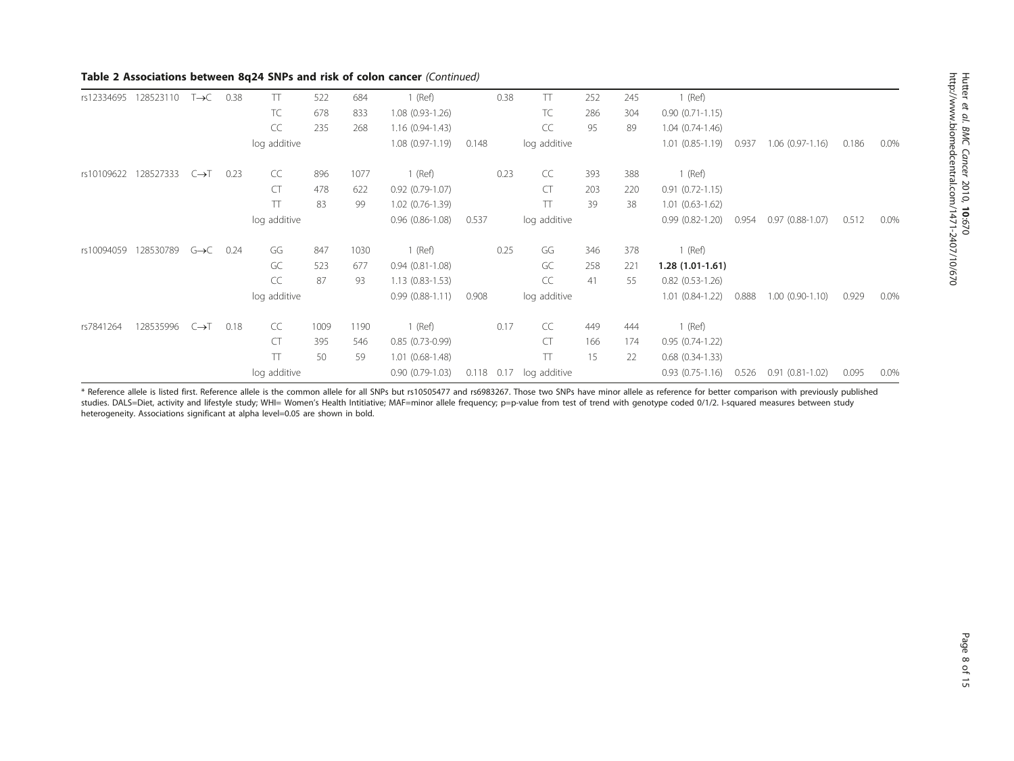#### Table 2 Associations between 8q24 SNPs and risk of colon cancer (Continued)

| rs12334695 | 128523110 | $T\rightarrow C$  | 0.38 | $\top$       | 522  | 684  | $1$ (Ref)           |       | 0.38 | $\top$       | 252 | 245 | $1$ (Ref)              |       |                      |       |         |
|------------|-----------|-------------------|------|--------------|------|------|---------------------|-------|------|--------------|-----|-----|------------------------|-------|----------------------|-------|---------|
|            |           |                   |      | TC           | 678  | 833  | 1.08 (0.93-1.26)    |       |      | TC           | 286 | 304 | $0.90(0.71 - 1.15)$    |       |                      |       |         |
|            |           |                   |      | CC           | 235  | 268  | $1.16(0.94-1.43)$   |       |      | CC           | 95  | 89  | $1.04(0.74-1.46)$      |       |                      |       |         |
|            |           |                   |      | log additive |      |      | $1.08(0.97-1.19)$   | 0.148 |      | log additive |     |     | $1.01(0.85-1.19)$      | 0.937 | $1.06$ $(0.97-1.16)$ | 0.186 | $0.0\%$ |
| rs10109622 | 128527333 | $C\rightarrow T$  | 0.23 | CC           | 896  | 1077 | $1$ (Ref)           |       | 0.23 | CC           | 393 | 388 | $1$ (Ref)              |       |                      |       |         |
|            |           |                   |      | CT           | 478  | 622  | $0.92(0.79-1.07)$   |       |      | <b>CT</b>    | 203 | 220 | $0.91(0.72 - 1.15)$    |       |                      |       |         |
|            |           |                   |      | $\top$       | 83   | 99   | $1.02(0.76-1.39)$   |       |      | $\top$       | 39  | 38  | $1.01(0.63-1.62)$      |       |                      |       |         |
|            |           |                   |      | log additive |      |      | $0.96(0.86 - 1.08)$ | 0.537 |      | log additive |     |     | $0.99(0.82 - 1.20)$    | 0.954 | $0.97(0.88-1.07)$    | 0.512 | $0.0\%$ |
| rs10094059 | 128530789 | G $\rightarrow$ C | 0.24 | GG           | 847  | 1030 | $1$ (Ref)           |       | 0.25 | GG           | 346 | 378 | $1$ (Ref)              |       |                      |       |         |
|            |           |                   |      | GC           | 523  | 677  | $0.94(0.81-1.08)$   |       |      | GC           | 258 | 221 | $1.28(1.01-1.61)$      |       |                      |       |         |
|            |           |                   |      | CC           | 87   | 93   | $1.13(0.83 - 1.53)$ |       |      | CC           | 41  | 55  | $0.82$ $(0.53 - 1.26)$ |       |                      |       |         |
|            |           |                   |      | log additive |      |      | $0.99(0.88-1.11)$   | 0.908 |      | log additive |     |     | $1.01(0.84-1.22)$      | 0.888 | $1.00(0.90-1.10)$    | 0.929 | $0.0\%$ |
| rs7841264  | 128535996 | $C\rightarrow T$  | 0.18 | CC           | 1009 | 1190 | $1$ (Ref)           |       | 0.17 | CC           | 449 | 444 | $1$ (Ref)              |       |                      |       |         |
|            |           |                   |      | CT           | 395  | 546  | $0.85(0.73-0.99)$   |       |      | <b>CT</b>    | 166 | 174 | $0.95(0.74-1.22)$      |       |                      |       |         |
|            |           |                   |      | $\top$       | 50   | 59   | $1.01(0.68-1.48)$   |       |      | $\top$       | 15  | 22  | $0.68$ $(0.34-1.33)$   |       |                      |       |         |
|            |           |                   |      | log additive |      |      | $0.90(0.79-1.03)$   | 0.118 | 0.17 | log additive |     |     | $0.93(0.75-1.16)$      | 0.526 | $0.91(0.81-1.02)$    | 0.095 | $0.0\%$ |

\* Reference allele is listed first. Reference allele is the common allele for all SNPs but rs10505477 and rs6983267. Those two SNPs have minor allele as reference for better comparison with previously published studies. DALS=Diet, activity and lifestyle study; WHI= Women's Health Intitiative; MAF=minor allele frequency; p=p-value from test of trend with genotype coded 0/1/2. I-squared measures between study heterogeneity. Associations significant at alpha level=0.05 are shown in bold.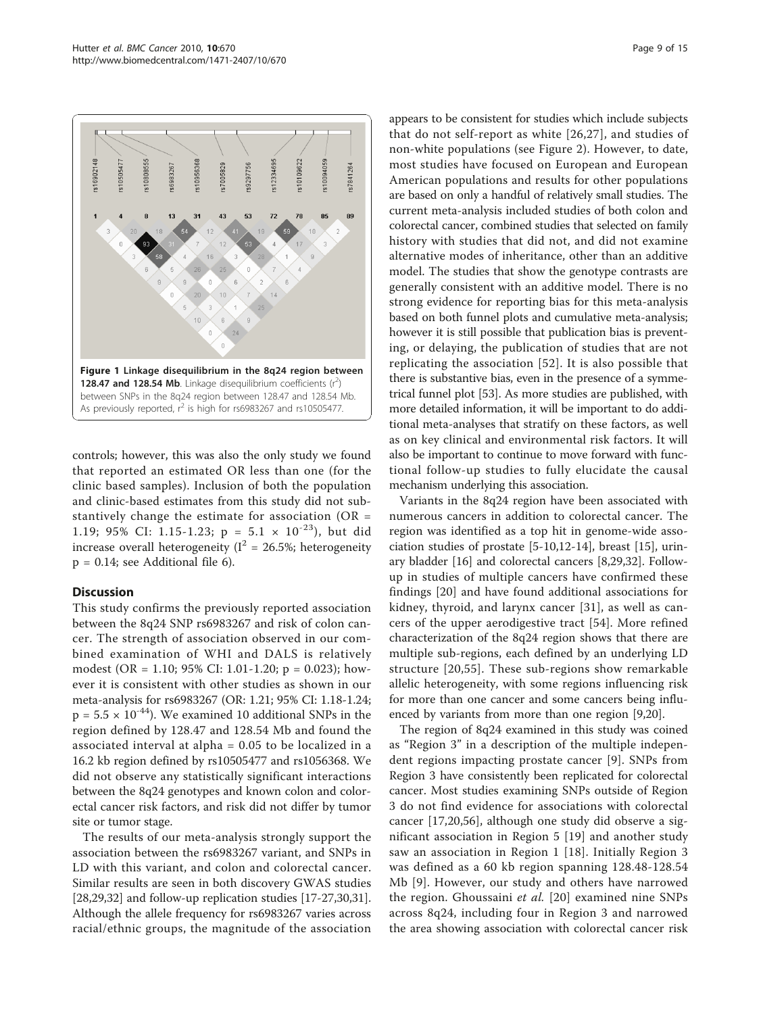<span id="page-8-0"></span>

controls; however, this was also the only study we found that reported an estimated OR less than one (for the clinic based samples). Inclusion of both the population and clinic-based estimates from this study did not substantively change the estimate for association (OR = 1.19; 95% CI: 1.15-1.23;  $p = 5.1 \times 10^{-23}$ ), but did increase overall heterogeneity ( $I^2 = 26.5$ %; heterogeneity p = 0.14; see Additional file [6\)](#page-11-0).

#### **Discussion**

This study confirms the previously reported association between the 8q24 SNP rs6983267 and risk of colon cancer. The strength of association observed in our combined examination of WHI and DALS is relatively modest (OR = 1.10; 95% CI: 1.01-1.20;  $p = 0.023$ ); however it is consistent with other studies as shown in our meta-analysis for rs6983267 (OR: 1.21; 95% CI: 1.18-1.24;  $p = 5.5 \times 10^{-44}$ ). We examined 10 additional SNPs in the region defined by 128.47 and 128.54 Mb and found the associated interval at alpha = 0.05 to be localized in a 16.2 kb region defined by rs10505477 and rs1056368. We did not observe any statistically significant interactions between the 8q24 genotypes and known colon and colorectal cancer risk factors, and risk did not differ by tumor site or tumor stage.

The results of our meta-analysis strongly support the association between the rs6983267 variant, and SNPs in LD with this variant, and colon and colorectal cancer. Similar results are seen in both discovery GWAS studies [[28,29](#page-13-0),[32](#page-13-0)] and follow-up replication studies [[17](#page-12-0)-[27,30](#page-13-0),[31](#page-13-0)]. Although the allele frequency for rs6983267 varies across racial/ethnic groups, the magnitude of the association appears to be consistent for studies which include subjects that do not self-report as white [[26,27](#page-13-0)], and studies of non-white populations (see Figure [2](#page-9-0)). However, to date, most studies have focused on European and European American populations and results for other populations are based on only a handful of relatively small studies. The current meta-analysis included studies of both colon and colorectal cancer, combined studies that selected on family history with studies that did not, and did not examine alternative modes of inheritance, other than an additive model. The studies that show the genotype contrasts are generally consistent with an additive model. There is no strong evidence for reporting bias for this meta-analysis based on both funnel plots and cumulative meta-analysis; however it is still possible that publication bias is preventing, or delaying, the publication of studies that are not replicating the association [[52\]](#page-13-0). It is also possible that there is substantive bias, even in the presence of a symmetrical funnel plot [[53](#page-13-0)]. As more studies are published, with more detailed information, it will be important to do additional meta-analyses that stratify on these factors, as well as on key clinical and environmental risk factors. It will also be important to continue to move forward with functional follow-up studies to fully elucidate the causal mechanism underlying this association.

Variants in the 8q24 region have been associated with numerous cancers in addition to colorectal cancer. The region was identified as a top hit in genome-wide association studies of prostate [\[5-10,12](#page-12-0)-[14\]](#page-12-0), breast [[15\]](#page-12-0), urinary bladder [\[16\]](#page-12-0) and colorectal cancers [[8,](#page-12-0)[29,32](#page-13-0)]. Followup in studies of multiple cancers have confirmed these findings [\[20](#page-12-0)] and have found additional associations for kidney, thyroid, and larynx cancer [[31](#page-13-0)], as well as cancers of the upper aerodigestive tract [\[54](#page-13-0)]. More refined characterization of the 8q24 region shows that there are multiple sub-regions, each defined by an underlying LD structure [[20,](#page-12-0)[55\]](#page-13-0). These sub-regions show remarkable allelic heterogeneity, with some regions influencing risk for more than one cancer and some cancers being influenced by variants from more than one region [[9](#page-12-0),[20](#page-12-0)].

The region of 8q24 examined in this study was coined as "Region 3" in a description of the multiple independent regions impacting prostate cancer [\[9](#page-12-0)]. SNPs from Region 3 have consistently been replicated for colorectal cancer. Most studies examining SNPs outside of Region 3 do not find evidence for associations with colorectal cancer [\[17,20](#page-12-0),[56](#page-13-0)], although one study did observe a significant association in Region 5 [[19](#page-12-0)] and another study saw an association in Region 1 [[18](#page-12-0)]. Initially Region 3 was defined as a 60 kb region spanning 128.48-128.54 Mb [[9](#page-12-0)]. However, our study and others have narrowed the region. Ghoussaini et al. [\[20\]](#page-12-0) examined nine SNPs across 8q24, including four in Region 3 and narrowed the area showing association with colorectal cancer risk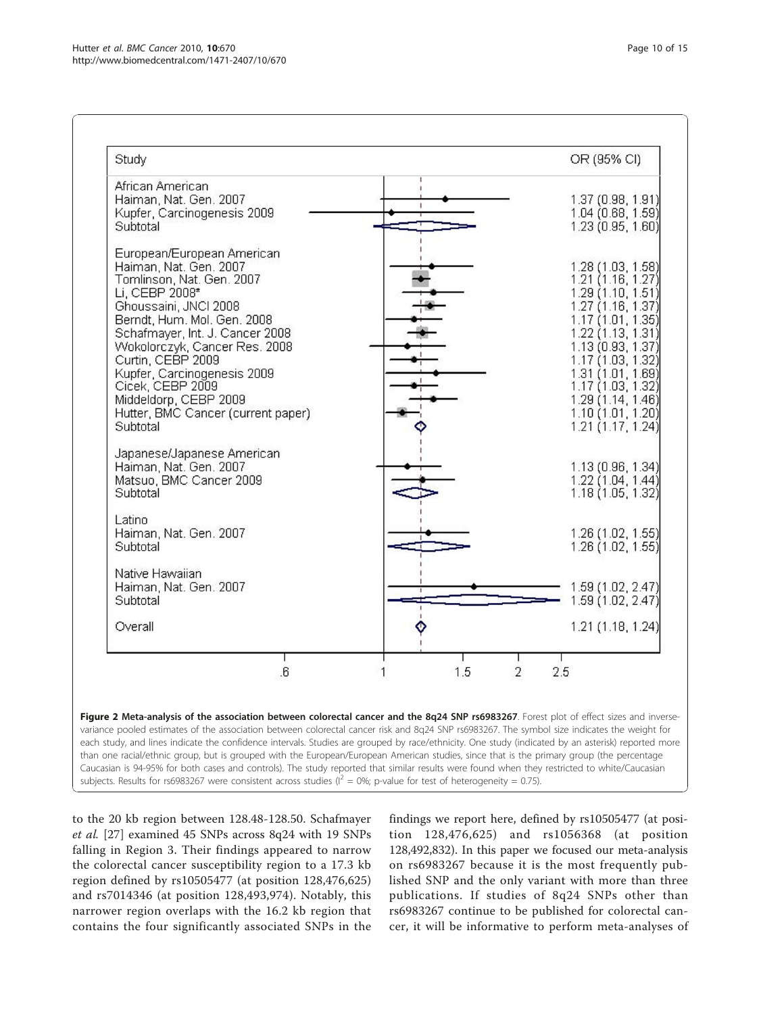<span id="page-9-0"></span>

than one racial/ethnic group, but is grouped with the European/European American studies, since that is the primary group (the percentage Caucasian is 94-95% for both cases and controls). The study reported that similar results were found when they restricted to white/Caucasian subjects. Results for rs6983267 were consistent across studies ( $I^2 = 0\%$ ; p-value for test of heterogeneity = 0.75).

to the 20 kb region between 128.48-128.50. Schafmayer et al. [\[27](#page-13-0)] examined 45 SNPs across 8q24 with 19 SNPs falling in Region 3. Their findings appeared to narrow the colorectal cancer susceptibility region to a 17.3 kb region defined by rs10505477 (at position 128,476,625) and rs7014346 (at position 128,493,974). Notably, this narrower region overlaps with the 16.2 kb region that contains the four significantly associated SNPs in the

findings we report here, defined by rs10505477 (at position 128,476,625) and rs1056368 (at position 128,492,832). In this paper we focused our meta-analysis on rs6983267 because it is the most frequently published SNP and the only variant with more than three publications. If studies of 8q24 SNPs other than rs6983267 continue to be published for colorectal cancer, it will be informative to perform meta-analyses of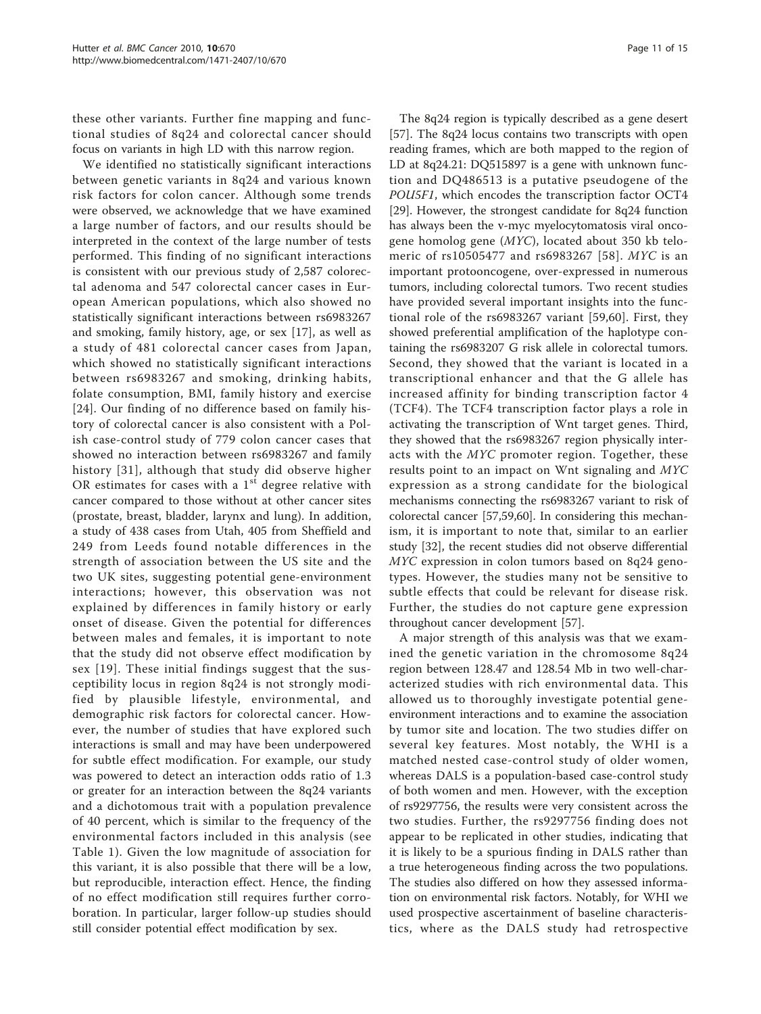these other variants. Further fine mapping and functional studies of 8q24 and colorectal cancer should focus on variants in high LD with this narrow region.

We identified no statistically significant interactions between genetic variants in 8q24 and various known risk factors for colon cancer. Although some trends were observed, we acknowledge that we have examined a large number of factors, and our results should be interpreted in the context of the large number of tests performed. This finding of no significant interactions is consistent with our previous study of 2,587 colorectal adenoma and 547 colorectal cancer cases in European American populations, which also showed no statistically significant interactions between rs6983267 and smoking, family history, age, or sex [\[17](#page-12-0)], as well as a study of 481 colorectal cancer cases from Japan, which showed no statistically significant interactions between rs6983267 and smoking, drinking habits, folate consumption, BMI, family history and exercise [[24](#page-12-0)]. Our finding of no difference based on family history of colorectal cancer is also consistent with a Polish case-control study of 779 colon cancer cases that showed no interaction between rs6983267 and family history [[31](#page-13-0)], although that study did observe higher OR estimates for cases with a  $1<sup>st</sup>$  degree relative with cancer compared to those without at other cancer sites (prostate, breast, bladder, larynx and lung). In addition, a study of 438 cases from Utah, 405 from Sheffield and 249 from Leeds found notable differences in the strength of association between the US site and the two UK sites, suggesting potential gene-environment interactions; however, this observation was not explained by differences in family history or early onset of disease. Given the potential for differences between males and females, it is important to note that the study did not observe effect modification by sex [[19\]](#page-12-0). These initial findings suggest that the susceptibility locus in region 8q24 is not strongly modified by plausible lifestyle, environmental, and demographic risk factors for colorectal cancer. However, the number of studies that have explored such interactions is small and may have been underpowered for subtle effect modification. For example, our study was powered to detect an interaction odds ratio of 1.3 or greater for an interaction between the 8q24 variants and a dichotomous trait with a population prevalence of 40 percent, which is similar to the frequency of the environmental factors included in this analysis (see Table [1\)](#page-4-0). Given the low magnitude of association for this variant, it is also possible that there will be a low, but reproducible, interaction effect. Hence, the finding of no effect modification still requires further corroboration. In particular, larger follow-up studies should still consider potential effect modification by sex.

The 8q24 region is typically described as a gene desert [[57\]](#page-13-0). The 8q24 locus contains two transcripts with open reading frames, which are both mapped to the region of LD at 8q24.21: DQ515897 is a gene with unknown function and DQ486513 is a putative pseudogene of the POU5F1, which encodes the transcription factor OCT4 [[29\]](#page-13-0). However, the strongest candidate for 8q24 function has always been the v-myc myelocytomatosis viral oncogene homolog gene (MYC), located about 350 kb telomeric of rs10505477 and rs6983267 [\[58\]](#page-14-0). MYC is an important protooncogene, over-expressed in numerous tumors, including colorectal tumors. Two recent studies have provided several important insights into the functional role of the rs6983267 variant [[59](#page-14-0),[60\]](#page-14-0). First, they showed preferential amplification of the haplotype containing the rs6983207 G risk allele in colorectal tumors. Second, they showed that the variant is located in a transcriptional enhancer and that the G allele has increased affinity for binding transcription factor 4 (TCF4). The TCF4 transcription factor plays a role in activating the transcription of Wnt target genes. Third, they showed that the rs6983267 region physically interacts with the *MYC* promoter region. Together, these results point to an impact on Wnt signaling and MYC expression as a strong candidate for the biological mechanisms connecting the rs6983267 variant to risk of colorectal cancer [[57](#page-13-0),[59,60](#page-14-0)]. In considering this mechanism, it is important to note that, similar to an earlier study [[32\]](#page-13-0), the recent studies did not observe differential MYC expression in colon tumors based on 8q24 genotypes. However, the studies many not be sensitive to subtle effects that could be relevant for disease risk. Further, the studies do not capture gene expression throughout cancer development [\[57](#page-13-0)].

A major strength of this analysis was that we examined the genetic variation in the chromosome 8q24 region between 128.47 and 128.54 Mb in two well-characterized studies with rich environmental data. This allowed us to thoroughly investigate potential geneenvironment interactions and to examine the association by tumor site and location. The two studies differ on several key features. Most notably, the WHI is a matched nested case-control study of older women, whereas DALS is a population-based case-control study of both women and men. However, with the exception of rs9297756, the results were very consistent across the two studies. Further, the rs9297756 finding does not appear to be replicated in other studies, indicating that it is likely to be a spurious finding in DALS rather than a true heterogeneous finding across the two populations. The studies also differed on how they assessed information on environmental risk factors. Notably, for WHI we used prospective ascertainment of baseline characteristics, where as the DALS study had retrospective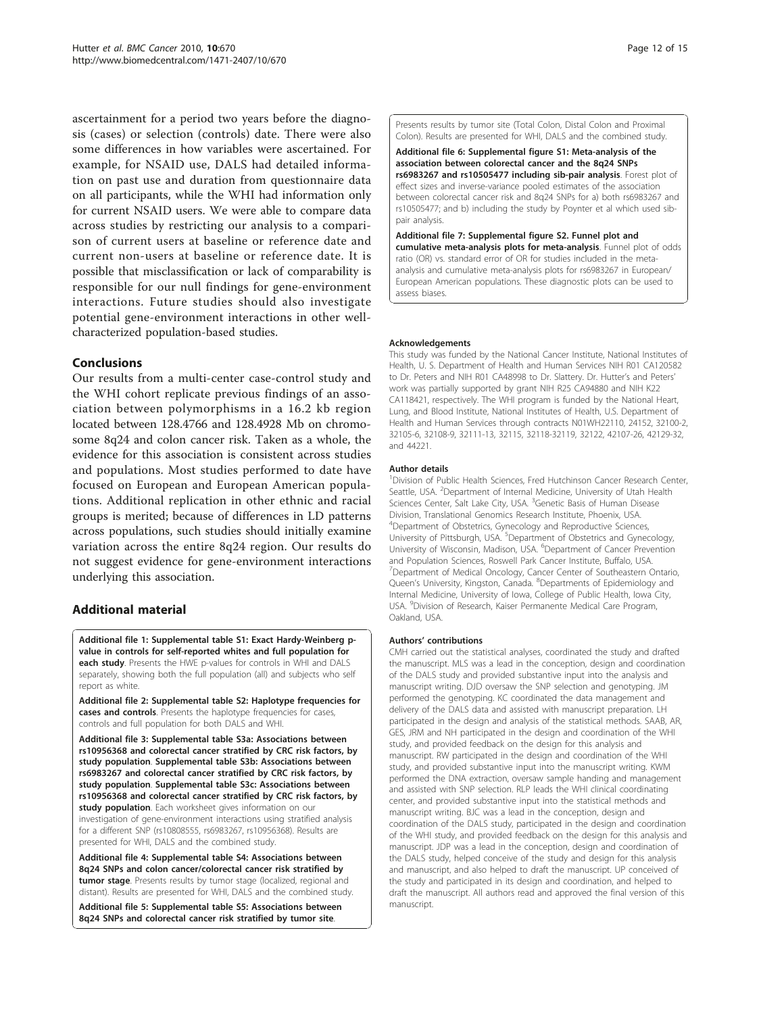<span id="page-11-0"></span>ascertainment for a period two years before the diagnosis (cases) or selection (controls) date. There were also some differences in how variables were ascertained. For example, for NSAID use, DALS had detailed information on past use and duration from questionnaire data on all participants, while the WHI had information only for current NSAID users. We were able to compare data across studies by restricting our analysis to a comparison of current users at baseline or reference date and current non-users at baseline or reference date. It is possible that misclassification or lack of comparability is responsible for our null findings for gene-environment interactions. Future studies should also investigate potential gene-environment interactions in other wellcharacterized population-based studies.

## Conclusions

Our results from a multi-center case-control study and the WHI cohort replicate previous findings of an association between polymorphisms in a 16.2 kb region located between 128.4766 and 128.4928 Mb on chromosome 8q24 and colon cancer risk. Taken as a whole, the evidence for this association is consistent across studies and populations. Most studies performed to date have focused on European and European American populations. Additional replication in other ethnic and racial groups is merited; because of differences in LD patterns across populations, such studies should initially examine variation across the entire 8q24 region. Our results do not suggest evidence for gene-environment interactions underlying this association.

## Additional material

[Additional file 1: S](http://www.biomedcentral.com/content/supplementary/1471-2407-10-670-S1.PDF)upplemental table S1: Exact Hardy-Weinberg pvalue in controls for self-reported whites and full population for each study. Presents the HWE p-values for controls in WHI and DALS separately, showing both the full population (all) and subjects who self report as white.

[Additional file 2: S](http://www.biomedcentral.com/content/supplementary/1471-2407-10-670-S2.PDF)upplemental table S2: Haplotype frequencies for cases and controls. Presents the haplotype frequencies for cases, controls and full population for both DALS and WHI.

[Additional file 3: S](http://www.biomedcentral.com/content/supplementary/1471-2407-10-670-S3.XLS)upplemental table S3a: Associations between rs10956368 and colorectal cancer stratified by CRC risk factors, by study population. Supplemental table S3b: Associations between rs6983267 and colorectal cancer stratified by CRC risk factors, by study population. Supplemental table S3c: Associations between rs10956368 and colorectal cancer stratified by CRC risk factors, by study population. Each worksheet gives information on our investigation of gene-environment interactions using stratified analysis for a different SNP (rs10808555, rs6983267, rs10956368). Results are presented for WHI, DALS and the combined study.

[Additional file 4: S](http://www.biomedcentral.com/content/supplementary/1471-2407-10-670-S4.PDF)upplemental table S4: Associations between 8q24 SNPs and colon cancer/colorectal cancer risk stratified by tumor stage. Presents results by tumor stage (localized, regional and distant). Results are presented for WHI, DALS and the combined study.

[Additional file 5: S](http://www.biomedcentral.com/content/supplementary/1471-2407-10-670-S5.PDF)upplemental table S5: Associations between 8q24 SNPs and colorectal cancer risk stratified by tumor site.

Presents results by tumor site (Total Colon, Distal Colon and Proximal Colon). Results are presented for WHI, DALS and the combined study.

[Additional file 6: S](http://www.biomedcentral.com/content/supplementary/1471-2407-10-670-S6.PDF)upplemental figure S1: Meta-analysis of the association between colorectal cancer and the 8q24 SNPs rs6983267 and rs10505477 including sib-pair analysis. Forest plot of effect sizes and inverse-variance pooled estimates of the association between colorectal cancer risk and 8q24 SNPs for a) both rs6983267 and rs10505477; and b) including the study by Poynter et al which used sibpair analysis.

[Additional file 7: S](http://www.biomedcentral.com/content/supplementary/1471-2407-10-670-S7.PDF)upplemental figure S2. Funnel plot and cumulative meta-analysis plots for meta-analysis. Funnel plot of odds ratio (OR) vs. standard error of OR for studies included in the metaanalysis and cumulative meta-analysis plots for rs6983267 in European/ European American populations. These diagnostic plots can be used to assess biases.

#### Acknowledgements

This study was funded by the National Cancer Institute, National Institutes of Health, U. S. Department of Health and Human Services NIH R01 CA120582 to Dr. Peters and NIH R01 CA48998 to Dr. Slattery. Dr. Hutter's and Peters' work was partially supported by grant NIH R25 CA94880 and NIH K22 CA118421, respectively. The WHI program is funded by the National Heart, Lung, and Blood Institute, National Institutes of Health, U.S. Department of Health and Human Services through contracts N01WH22110, 24152, 32100-2, 32105-6, 32108-9, 32111-13, 32115, 32118-32119, 32122, 42107-26, 42129-32, and 44221.

#### Author details

<sup>1</sup> Division of Public Health Sciences, Fred Hutchinson Cancer Research Center Seattle, USA. <sup>2</sup>Department of Internal Medicine, University of Utah Health Sciences Center, Salt Lake City, USA. <sup>3</sup>Genetic Basis of Human Disease Division, Translational Genomics Research Institute, Phoenix, USA. 4 Department of Obstetrics, Gynecology and Reproductive Sciences, University of Pittsburgh, USA. <sup>5</sup>Department of Obstetrics and Gynecology, University of Wisconsin, Madison, USA. <sup>6</sup>Department of Cancer Prevention and Population Sciences, Roswell Park Cancer Institute, Buffalo, USA. <sup>7</sup>Department of Medical Oncology, Cancer Center of Southeastern Ontario Queen's University, Kingston, Canada. <sup>8</sup>Departments of Epidemiology and Internal Medicine, University of Iowa, College of Public Health, Iowa City, USA. <sup>9</sup> Division of Research, Kaiser Permanente Medical Care Program, Oakland, USA.

#### Authors' contributions

CMH carried out the statistical analyses, coordinated the study and drafted the manuscript. MLS was a lead in the conception, design and coordination of the DALS study and provided substantive input into the analysis and manuscript writing. DJD oversaw the SNP selection and genotyping. JM performed the genotyping. KC coordinated the data management and delivery of the DALS data and assisted with manuscript preparation. LH participated in the design and analysis of the statistical methods. SAAB, AR, GES, JRM and NH participated in the design and coordination of the WHI study, and provided feedback on the design for this analysis and manuscript. RW participated in the design and coordination of the WHI study, and provided substantive input into the manuscript writing. KWM performed the DNA extraction, oversaw sample handing and management and assisted with SNP selection. RLP leads the WHI clinical coordinating center, and provided substantive input into the statistical methods and manuscript writing. BJC was a lead in the conception, design and coordination of the DALS study, participated in the design and coordination of the WHI study, and provided feedback on the design for this analysis and manuscript. JDP was a lead in the conception, design and coordination of the DALS study, helped conceive of the study and design for this analysis and manuscript, and also helped to draft the manuscript. UP conceived of the study and participated in its design and coordination, and helped to draft the manuscript. All authors read and approved the final version of this manuscript.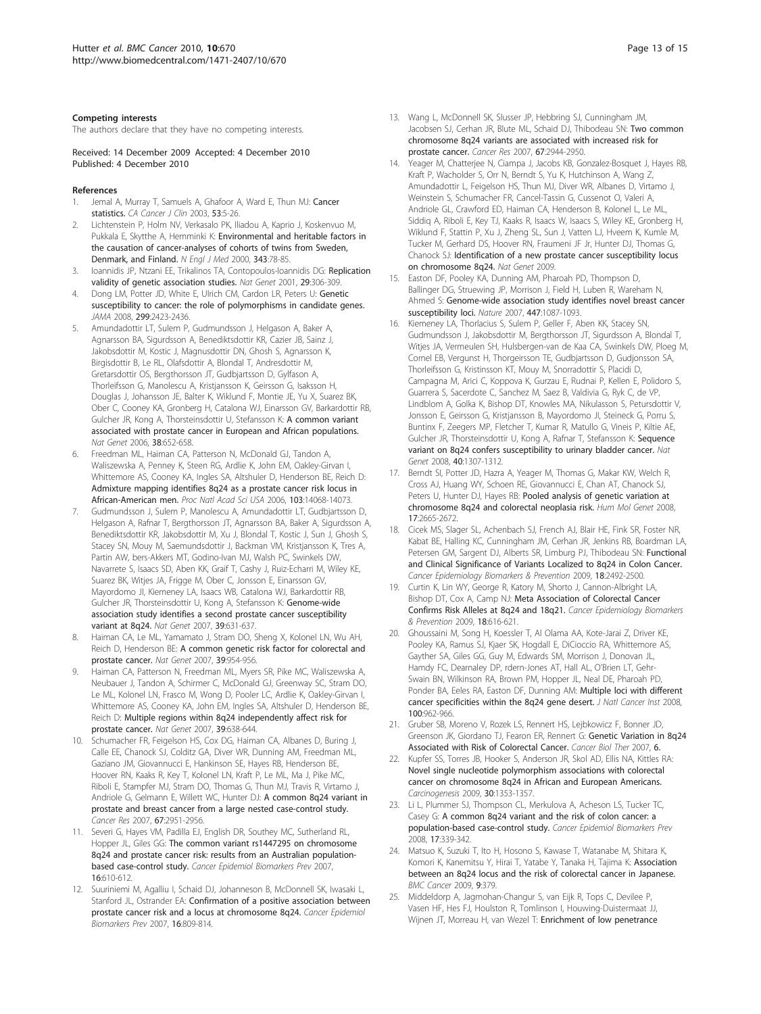#### <span id="page-12-0"></span>Competing interests

The authors declare that they have no competing interests.

Received: 14 December 2009 Accepted: 4 December 2010 Published: 4 December 2010

#### References

- 1. Jemal A, Murray T, Samuels A, Ghafoor A, Ward E, Thun MJ: [Cancer](http://www.ncbi.nlm.nih.gov/pubmed/12568441?dopt=Abstract) [statistics.](http://www.ncbi.nlm.nih.gov/pubmed/12568441?dopt=Abstract) CA Cancer J Clin 2003, 53:5-26.
- 2. Lichtenstein P, Holm NV, Verkasalo PK, Iliadou A, Kaprio J, Koskenvuo M, Pukkala E, Skytthe A, Hemminki K: [Environmental and heritable factors in](http://www.ncbi.nlm.nih.gov/pubmed/10891514?dopt=Abstract) [the causation of cancer-analyses of cohorts of twins from Sweden,](http://www.ncbi.nlm.nih.gov/pubmed/10891514?dopt=Abstract) [Denmark, and Finland.](http://www.ncbi.nlm.nih.gov/pubmed/10891514?dopt=Abstract) N Engl J Med 2000, 343:78-85.
- 3. Ioannidis JP, Ntzani EE, Trikalinos TA, Contopoulos-Ioannidis DG: [Replication](http://www.ncbi.nlm.nih.gov/pubmed/11600885?dopt=Abstract) [validity of genetic association studies.](http://www.ncbi.nlm.nih.gov/pubmed/11600885?dopt=Abstract) Nat Genet 2001, 29:306-309.
- Dong LM, Potter JD, White E, Ulrich CM, Cardon LR, Peters U: [Genetic](http://www.ncbi.nlm.nih.gov/pubmed/18505952?dopt=Abstract) [susceptibility to cancer: the role of polymorphisms in candidate genes.](http://www.ncbi.nlm.nih.gov/pubmed/18505952?dopt=Abstract) JAMA 2008, 299:2423-2436.
- 5. Amundadottir LT, Sulem P, Gudmundsson J, Helgason A, Baker A, Agnarsson BA, Sigurdsson A, Benediktsdottir KR, Cazier JB, Sainz J, Jakobsdottir M, Kostic J, Magnusdottir DN, Ghosh S, Agnarsson K, Birgisdottir B, Le RL, Olafsdottir A, Blondal T, Andresdottir M, Gretarsdottir OS, Bergthorsson JT, Gudbjartsson D, Gylfason A, Thorleifsson G, Manolescu A, Kristjansson K, Geirsson G, Isaksson H, Douglas J, Johansson JE, Balter K, Wiklund F, Montie JE, Yu X, Suarez BK, Ober C, Cooney KA, Gronberg H, Catalona WJ, Einarsson GV, Barkardottir RB, Gulcher JR, Kong A, Thorsteinsdottir U, Stefansson K: [A common variant](http://www.ncbi.nlm.nih.gov/pubmed/16682969?dopt=Abstract) [associated with prostate cancer in European and African populations.](http://www.ncbi.nlm.nih.gov/pubmed/16682969?dopt=Abstract) Nat Genet 2006, 38:652-658.
- Freedman ML, Haiman CA, Patterson N, McDonald GJ, Tandon A, Waliszewska A, Penney K, Steen RG, Ardlie K, John EM, Oakley-Girvan I, Whittemore AS, Cooney KA, Ingles SA, Altshuler D, Henderson BE, Reich D: [Admixture mapping identifies 8q24 as a prostate cancer risk locus in](http://www.ncbi.nlm.nih.gov/pubmed/16945910?dopt=Abstract) [African-American men.](http://www.ncbi.nlm.nih.gov/pubmed/16945910?dopt=Abstract) Proc Natl Acad Sci USA 2006, 103:14068-14073.
- 7. Gudmundsson J, Sulem P, Manolescu A, Amundadottir LT, Gudbjartsson D, Helgason A, Rafnar T, Bergthorsson JT, Agnarsson BA, Baker A, Sigurdsson A, Benediktsdottir KR, Jakobsdottir M, Xu J, Blondal T, Kostic J, Sun J, Ghosh S, Stacey SN, Mouy M, Saemundsdottir J, Backman VM, Kristjansson K, Tres A, Partin AW, bers-Akkers MT, Godino-Ivan MJ, Walsh PC, Swinkels DW, Navarrete S, Isaacs SD, Aben KK, Graif T, Cashy J, Ruiz-Echarri M, Wiley KE, Suarez BK, Witjes JA, Frigge M, Ober C, Jonsson E, Einarsson GV, Mayordomo JI, Kiemeney LA, Isaacs WB, Catalona WJ, Barkardottir RB, Gulcher JR, Thorsteinsdottir U, Kong A, Stefansson K: [Genome-wide](http://www.ncbi.nlm.nih.gov/pubmed/17401366?dopt=Abstract) [association study identifies a second prostate cancer susceptibility](http://www.ncbi.nlm.nih.gov/pubmed/17401366?dopt=Abstract) [variant at 8q24.](http://www.ncbi.nlm.nih.gov/pubmed/17401366?dopt=Abstract) Nat Genet 2007, 39:631-637.
- 8. Haiman CA, Le ML, Yamamato J, Stram DO, Sheng X, Kolonel LN, Wu AH, Reich D, Henderson BE: [A common genetic risk factor for colorectal and](http://www.ncbi.nlm.nih.gov/pubmed/17618282?dopt=Abstract) [prostate cancer.](http://www.ncbi.nlm.nih.gov/pubmed/17618282?dopt=Abstract) Nat Genet 2007, 39:954-956.
- Haiman CA, Patterson N, Freedman ML, Myers SR, Pike MC, Waliszewska A, Neubauer J, Tandon A, Schirmer C, McDonald GJ, Greenway SC, Stram DO, Le ML, Kolonel LN, Frasco M, Wong D, Pooler LC, Ardlie K, Oakley-Girvan I, Whittemore AS, Cooney KA, John EM, Ingles SA, Altshuler D, Henderson BE, Reich D: [Multiple regions within 8q24 independently affect risk for](http://www.ncbi.nlm.nih.gov/pubmed/17401364?dopt=Abstract) [prostate cancer.](http://www.ncbi.nlm.nih.gov/pubmed/17401364?dopt=Abstract) Nat Genet 2007, 39:638-644.
- 10. Schumacher FR, Feigelson HS, Cox DG, Haiman CA, Albanes D, Buring J, Calle EE, Chanock SJ, Colditz GA, Diver WR, Dunning AM, Freedman ML, Gaziano JM, Giovannucci E, Hankinson SE, Hayes RB, Henderson BE, Hoover RN, Kaaks R, Key T, Kolonel LN, Kraft P, Le ML, Ma J, Pike MC, Riboli E, Stampfer MJ, Stram DO, Thomas G, Thun MJ, Travis R, Virtamo J, Andriole G, Gelmann E, Willett WC, Hunter DJ: [A common 8q24 variant in](http://www.ncbi.nlm.nih.gov/pubmed/17409400?dopt=Abstract) [prostate and breast cancer from a large nested case-control study.](http://www.ncbi.nlm.nih.gov/pubmed/17409400?dopt=Abstract) Cancer Res 2007, 67:2951-2956.
- 11. Severi G, Hayes VM, Padilla EJ, English DR, Southey MC, Sutherland RL, Hopper JL, Giles GG: [The common variant rs1447295 on chromosome](http://www.ncbi.nlm.nih.gov/pubmed/17372260?dopt=Abstract) [8q24 and prostate cancer risk: results from an Australian population](http://www.ncbi.nlm.nih.gov/pubmed/17372260?dopt=Abstract)[based case-control study.](http://www.ncbi.nlm.nih.gov/pubmed/17372260?dopt=Abstract) Cancer Epidemiol Biomarkers Prev 2007, 16:610-612.
- 12. Suuriniemi M, Agalliu I, Schaid DJ, Johanneson B, McDonnell SK, Iwasaki L, Stanford JL, Ostrander EA: [Confirmation of a positive association between](http://www.ncbi.nlm.nih.gov/pubmed/17416775?dopt=Abstract) [prostate cancer risk and a locus at chromosome 8q24.](http://www.ncbi.nlm.nih.gov/pubmed/17416775?dopt=Abstract) Cancer Epidemiol Biomarkers Prev 2007, 16:809-814.
- 13. Wang L, McDonnell SK, Slusser JP, Hebbring SJ, Cunningham JM, Jacobsen SJ, Cerhan JR, Blute ML, Schaid DJ, Thibodeau SN: [Two common](http://www.ncbi.nlm.nih.gov/pubmed/17409399?dopt=Abstract) [chromosome 8q24 variants are associated with increased risk for](http://www.ncbi.nlm.nih.gov/pubmed/17409399?dopt=Abstract) [prostate cancer.](http://www.ncbi.nlm.nih.gov/pubmed/17409399?dopt=Abstract) Cancer Res 2007, 67:2944-2950.
- 14. Yeager M, Chatterjee N, Ciampa J, Jacobs KB, Gonzalez-Bosquet J, Hayes RB, Kraft P, Wacholder S, Orr N, Berndt S, Yu K, Hutchinson A, Wang Z, Amundadottir L, Feigelson HS, Thun MJ, Diver WR, Albanes D, Virtamo J, Weinstein S, Schumacher FR, Cancel-Tassin G, Cussenot O, Valeri A, Andriole GL, Crawford ED, Haiman CA, Henderson B, Kolonel L, Le ML, Siddiq A, Riboli E, Key TJ, Kaaks R, Isaacs W, Isaacs S, Wiley KE, Gronberg H, Wiklund F, Stattin P, Xu J, Zheng SL, Sun J, Vatten LJ, Hveem K, Kumle M, Tucker M, Gerhard DS, Hoover RN, Fraumeni JF Jr, Hunter DJ, Thomas G, Chanock SJ: Identification of a new prostate cancer susceptibility locus on chromosome 8q24. Nat Genet 2009.
- 15. Easton DF, Pooley KA, Dunning AM, Pharoah PD, Thompson D, Ballinger DG, Struewing JP, Morrison J, Field H, Luben R, Wareham N, Ahmed S: [Genome-wide association study identifies novel breast cancer](http://www.ncbi.nlm.nih.gov/pubmed/17529967?dopt=Abstract) [susceptibility loci.](http://www.ncbi.nlm.nih.gov/pubmed/17529967?dopt=Abstract) Nature 2007, 447:1087-1093.
- 16. Kiemeney LA, Thorlacius S, Sulem P, Geller F, Aben KK, Stacey SN, Gudmundsson J, Jakobsdottir M, Bergthorsson JT, Sigurdsson A, Blondal T, Witjes JA, Vermeulen SH, Hulsbergen-van de Kaa CA, Swinkels DW, Ploeg M, Cornel EB, Vergunst H, Thorgeirsson TE, Gudbjartsson D, Gudjonsson SA, Thorleifsson G, Kristinsson KT, Mouy M, Snorradottir S, Placidi D, Campagna M, Arici C, Koppova K, Gurzau E, Rudnai P, Kellen E, Polidoro S, Guarrera S, Sacerdote C, Sanchez M, Saez B, Valdivia G, Ryk C, de VP, Lindblom A, Golka K, Bishop DT, Knowles MA, Nikulasson S, Petursdottir V, Jonsson E, Geirsson G, Kristjansson B, Mayordomo JI, Steineck G, Porru S, Buntinx F, Zeegers MP, Fletcher T, Kumar R, Matullo G, Vineis P, Kiltie AE, Gulcher JR, Thorsteinsdottir U, Kong A, Rafnar T, Stefansson K: [Sequence](http://www.ncbi.nlm.nih.gov/pubmed/18794855?dopt=Abstract) [variant on 8q24 confers susceptibility to urinary bladder cancer.](http://www.ncbi.nlm.nih.gov/pubmed/18794855?dopt=Abstract) Nat Genet 2008, 40:1307-1312.
- 17. Berndt SI, Potter JD, Hazra A, Yeager M, Thomas G, Makar KW, Welch R, Cross AJ, Huang WY, Schoen RE, Giovannucci E, Chan AT, Chanock SJ, Peters U, Hunter DJ, Hayes RB: [Pooled analysis of genetic variation at](http://www.ncbi.nlm.nih.gov/pubmed/18535017?dopt=Abstract) [chromosome 8q24 and colorectal neoplasia risk.](http://www.ncbi.nlm.nih.gov/pubmed/18535017?dopt=Abstract) Hum Mol Genet 2008, 17:2665-2672.
- 18. Cicek MS, Slager SL, Achenbach SJ, French AJ, Blair HE, Fink SR, Foster NR, Kabat BE, Halling KC, Cunningham JM, Cerhan JR, Jenkins RB, Boardman LA, Petersen GM, Sargent DJ, Alberts SR, Limburg PJ, Thibodeau SN: Functional and Clinical Significance of Variants Localized to 8q24 in Colon Cancer. Cancer Epidemiology Biomarkers & Prevention 2009, 18:2492-2500.
- 19. Curtin K, Lin WY, George R, Katory M, Shorto J, Cannon-Albright LA, Bishop DT, Cox A, Camp NJ: Meta Association of Colorectal Cancer Confirms Risk Alleles at 8q24 and 18q21. Cancer Epidemiology Biomarkers & Prevention 2009, 18:616-621.
- 20. Ghoussaini M, Song H, Koessler T, Al Olama AA, Kote-Jarai Z, Driver KE, Pooley KA, Ramus SJ, Kjaer SK, Hogdall E, DiCioccio RA, Whittemore AS, Gayther SA, Giles GG, Guy M, Edwards SM, Morrison J, Donovan JL, Hamdy FC, Dearnaley DP, rdern-Jones AT, Hall AL, O'Brien LT, Gehr-Swain BN, Wilkinson RA, Brown PM, Hopper JL, Neal DE, Pharoah PD, Ponder BA, Eeles RA, Easton DF, Dunning AM: [Multiple loci with different](http://www.ncbi.nlm.nih.gov/pubmed/18577746?dopt=Abstract) [cancer specificities within the 8q24 gene desert.](http://www.ncbi.nlm.nih.gov/pubmed/18577746?dopt=Abstract) J Natl Cancer Inst 2008, 100:962-966.
- 21. Gruber SB, Moreno V, Rozek LS, Rennert HS, Lejbkowicz F, Bonner JD, Greenson JK, Giordano TJ, Fearon ER, Rennert G: [Genetic Variation in 8q24](http://www.ncbi.nlm.nih.gov/pubmed/17630503?dopt=Abstract) [Associated with Risk of Colorectal Cancer.](http://www.ncbi.nlm.nih.gov/pubmed/17630503?dopt=Abstract) Cancer Biol Ther 2007, 6.
- 22. Kupfer SS, Torres JB, Hooker S, Anderson JR, Skol AD, Ellis NA, Kittles RA: [Novel single nucleotide polymorphism associations with colorectal](http://www.ncbi.nlm.nih.gov/pubmed/19520795?dopt=Abstract) [cancer on chromosome 8q24 in African and European Americans.](http://www.ncbi.nlm.nih.gov/pubmed/19520795?dopt=Abstract) Carcinogenesis 2009, 30:1353-1357.
- 23. Li L, Plummer SJ, Thompson CL, Merkulova A, Acheson LS, Tucker TC, Casey G: [A common 8q24 variant and the risk of colon cancer: a](http://www.ncbi.nlm.nih.gov/pubmed/18268117?dopt=Abstract) [population-based case-control study.](http://www.ncbi.nlm.nih.gov/pubmed/18268117?dopt=Abstract) Cancer Epidemiol Biomarkers Prev 2008, 17:339-342.
- 24. Matsuo K, Suzuki T, Ito H, Hosono S, Kawase T, Watanabe M, Shitara K, Komori K, Kanemitsu Y, Hirai T, Yatabe Y, Tanaka H, Tajima K: [Association](http://www.ncbi.nlm.nih.gov/pubmed/19857256?dopt=Abstract) [between an 8q24 locus and the risk of colorectal cancer in Japanese.](http://www.ncbi.nlm.nih.gov/pubmed/19857256?dopt=Abstract) BMC Cancer 2009, 9:379.
- 25. Middeldorp A, Jagmohan-Changur S, van Eijk R, Tops C, Devilee P, Vasen HF, Hes FJ, Houlston R, Tomlinson I, Houwing-Duistermaat JJ, Wijnen JT, Morreau H, van Wezel T: [Enrichment of low penetrance](http://www.ncbi.nlm.nih.gov/pubmed/19843678?dopt=Abstract)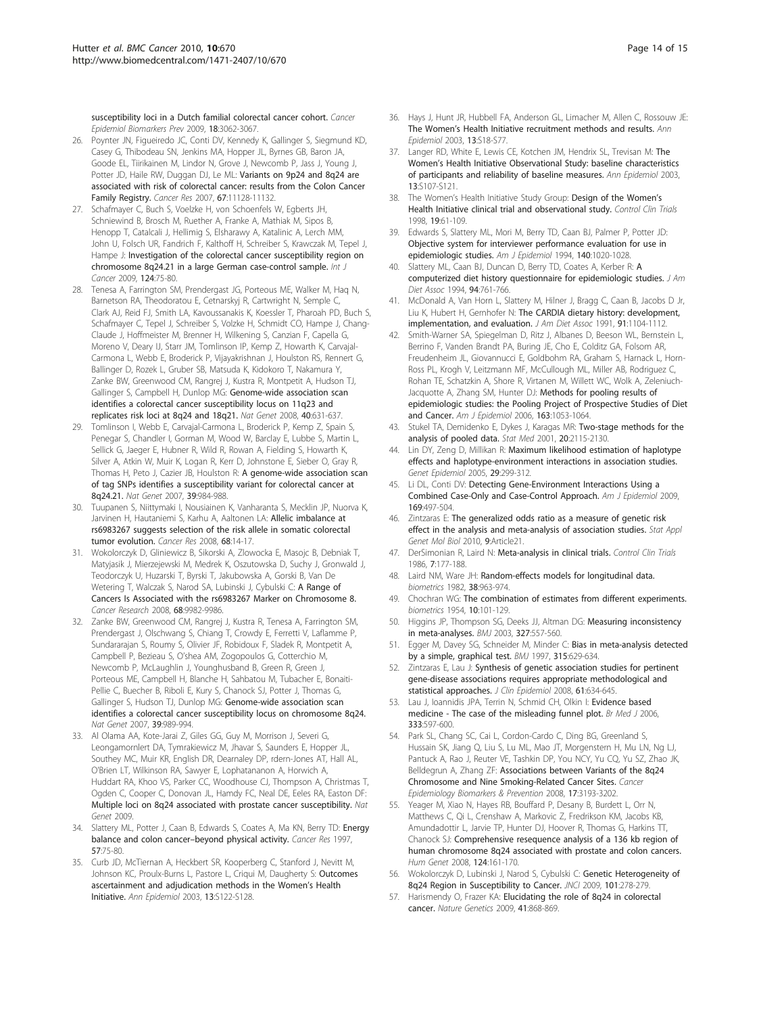<span id="page-13-0"></span>[susceptibility loci in a Dutch familial colorectal cancer cohort.](http://www.ncbi.nlm.nih.gov/pubmed/19843678?dopt=Abstract) Cancer Epidemiol Biomarkers Prev 2009, 18:3062-3067.

- 26. Poynter JN, Figueiredo JC, Conti DV, Kennedy K, Gallinger S, Siegmund KD, Casey G, Thibodeau SN, Jenkins MA, Hopper JL, Byrnes GB, Baron JA, Goode EL, Tiirikainen M, Lindor N, Grove J, Newcomb P, Jass J, Young J, Potter JD, Haile RW, Duggan DJ, Le ML: [Variants on 9p24 and 8q24 are](http://www.ncbi.nlm.nih.gov/pubmed/18056436?dopt=Abstract) [associated with risk of colorectal cancer: results from the Colon Cancer](http://www.ncbi.nlm.nih.gov/pubmed/18056436?dopt=Abstract) [Family Registry.](http://www.ncbi.nlm.nih.gov/pubmed/18056436?dopt=Abstract) Cancer Res 2007, 67:11128-11132.
- 27. Schafmayer C, Buch S, Voelzke H, von Schoenfels W, Egberts JH, Schniewind B, Brosch M, Ruether A, Franke A, Mathiak M, Sipos B, Henopp T, Catalcali J, Hellimig S, Elsharawy A, Katalinic A, Lerch MM, John U, Folsch UR, Fandrich F, Kalthoff H, Schreiber S, Krawczak M, Tepel J, Hampe J: [Investigation of the colorectal cancer susceptibility region on](http://www.ncbi.nlm.nih.gov/pubmed/18839428?dopt=Abstract) [chromosome 8q24.21 in a large German case-control sample.](http://www.ncbi.nlm.nih.gov/pubmed/18839428?dopt=Abstract) Int J Cancer 2009, 124:75-80.
- 28. Tenesa A, Farrington SM, Prendergast JG, Porteous ME, Walker M, Haq N, Barnetson RA, Theodoratou E, Cetnarskyj R, Cartwright N, Semple C, Clark AJ, Reid FJ, Smith LA, Kavoussanakis K, Koessler T, Pharoah PD, Buch S, Schafmayer C, Tepel J, Schreiber S, Volzke H, Schmidt CO, Hampe J, Chang-Claude J, Hoffmeister M, Brenner H, Wilkening S, Canzian F, Capella G, Moreno V, Deary IJ, Starr JM, Tomlinson IP, Kemp Z, Howarth K, Carvajal-Carmona L, Webb E, Broderick P, Vijayakrishnan J, Houlston RS, Rennert G, Ballinger D, Rozek L, Gruber SB, Matsuda K, Kidokoro T, Nakamura Y, Zanke BW, Greenwood CM, Rangrej J, Kustra R, Montpetit A, Hudson TJ, Gallinger S, Campbell H, Dunlop MG: [Genome-wide association scan](http://www.ncbi.nlm.nih.gov/pubmed/18372901?dopt=Abstract) [identifies a colorectal cancer susceptibility locus on 11q23 and](http://www.ncbi.nlm.nih.gov/pubmed/18372901?dopt=Abstract) [replicates risk loci at 8q24 and 18q21.](http://www.ncbi.nlm.nih.gov/pubmed/18372901?dopt=Abstract) Nat Genet 2008, 40:631-637.
- 29. Tomlinson I, Webb E, Carvajal-Carmona L, Broderick P, Kemp Z, Spain S, Penegar S, Chandler I, Gorman M, Wood W, Barclay E, Lubbe S, Martin L, Sellick G, Jaeger E, Hubner R, Wild R, Rowan A, Fielding S, Howarth K, Silver A, Atkin W, Muir K, Logan R, Kerr D, Johnstone E, Sieber O, Gray R, Thomas H, Peto J, Cazier JB, Houlston R: [A genome-wide association scan](http://www.ncbi.nlm.nih.gov/pubmed/17618284?dopt=Abstract) [of tag SNPs identifies a susceptibility variant for colorectal cancer at](http://www.ncbi.nlm.nih.gov/pubmed/17618284?dopt=Abstract) [8q24.21.](http://www.ncbi.nlm.nih.gov/pubmed/17618284?dopt=Abstract) Nat Genet 2007, 39:984-988.
- 30. Tuupanen S, Niittymaki I, Nousiainen K, Vanharanta S, Mecklin JP, Nuorva K, Jarvinen H, Hautaniemi S, Karhu A, Aaltonen LA: [Allelic imbalance at](http://www.ncbi.nlm.nih.gov/pubmed/18172290?dopt=Abstract) [rs6983267 suggests selection of the risk allele in somatic colorectal](http://www.ncbi.nlm.nih.gov/pubmed/18172290?dopt=Abstract) [tumor evolution.](http://www.ncbi.nlm.nih.gov/pubmed/18172290?dopt=Abstract) Cancer Res 2008, 68:14-17.
- 31. Wokolorczyk D, Gliniewicz B, Sikorski A, Zlowocka E, Masojc B, Debniak T, Matyjasik J, Mierzejewski M, Medrek K, Oszutowska D, Suchy J, Gronwald J, Teodorczyk U, Huzarski T, Byrski T, Jakubowska A, Gorski B, Van De Wetering T, Walczak S, Narod SA, Lubinski J, Cybulski C: [A Range of](http://www.ncbi.nlm.nih.gov/pubmed/19047180?dopt=Abstract) [Cancers Is Associated with the rs6983267 Marker on Chromosome 8.](http://www.ncbi.nlm.nih.gov/pubmed/19047180?dopt=Abstract) Cancer Research 2008, 68:9982-9986.
- 32. Zanke BW, Greenwood CM, Rangrej J, Kustra R, Tenesa A, Farrington SM, Prendergast J, Olschwang S, Chiang T, Crowdy E, Ferretti V, Laflamme P, Sundararajan S, Roumy S, Olivier JF, Robidoux F, Sladek R, Montpetit A, Campbell P, Bezieau S, O'shea AM, Zogopoulos G, Cotterchio M, Newcomb P, McLaughlin J, Younghusband B, Green R, Green J, Porteous ME, Campbell H, Blanche H, Sahbatou M, Tubacher E, Bonaiti-Pellie C, Buecher B, Riboli E, Kury S, Chanock SJ, Potter J, Thomas G, Gallinger S, Hudson TJ, Dunlop MG: [Genome-wide association scan](http://www.ncbi.nlm.nih.gov/pubmed/17618283?dopt=Abstract) [identifies a colorectal cancer susceptibility locus on chromosome 8q24.](http://www.ncbi.nlm.nih.gov/pubmed/17618283?dopt=Abstract) Nat Genet 2007, 39:989-994.
- 33. Al Olama AA, Kote-Jarai Z, Giles GG, Guy M, Morrison J, Severi G, Leongamornlert DA, Tymrakiewicz M, Jhavar S, Saunders E, Hopper JL, Southey MC, Muir KR, English DR, Dearnaley DP, rdern-Jones AT, Hall AL, O'Brien LT, Wilkinson RA, Sawyer E, Lophatananon A, Horwich A, Huddart RA, Khoo VS, Parker CC, Woodhouse CJ, Thompson A, Christmas T, Ogden C, Cooper C, Donovan JL, Hamdy FC, Neal DE, Eeles RA, Easton DF: Multiple loci on 8q24 associated with prostate cancer susceptibility. Nat Genet 2009.
- 34. Slattery ML, Potter J, Caan B, Edwards S, Coates A, Ma KN, Berry TD: [Energy](http://www.ncbi.nlm.nih.gov/pubmed/8988044?dopt=Abstract) [balance and colon cancer](http://www.ncbi.nlm.nih.gov/pubmed/8988044?dopt=Abstract)–beyond physical activity. Cancer Res 1997, 57:75-80.
- 35. Curb JD, McTiernan A, Heckbert SR, Kooperberg C, Stanford J, Nevitt M, Johnson KC, Proulx-Burns L, Pastore L, Criqui M, Daugherty S: [Outcomes](http://www.ncbi.nlm.nih.gov/pubmed/14575944?dopt=Abstract) [ascertainment and adjudication methods in the Women](http://www.ncbi.nlm.nih.gov/pubmed/14575944?dopt=Abstract)'s Health [Initiative.](http://www.ncbi.nlm.nih.gov/pubmed/14575944?dopt=Abstract) Ann Epidemiol 2003, 13:S122-S128.
- 36. Hays J, Hunt JR, Hubbell FA, Anderson GL, Limacher M, Allen C, Rossouw JE: The Women'[s Health Initiative recruitment methods and results.](http://www.ncbi.nlm.nih.gov/pubmed/14575939?dopt=Abstract) Ann Epidemiol 2003, 13:S18-S77.
- 37. Langer RD, White E, Lewis CE, Kotchen JM, Hendrix SL, Trevisan M: [The](http://www.ncbi.nlm.nih.gov/pubmed/14575943?dopt=Abstract) Women'[s Health Initiative Observational Study: baseline characteristics](http://www.ncbi.nlm.nih.gov/pubmed/14575943?dopt=Abstract) [of participants and reliability of baseline measures.](http://www.ncbi.nlm.nih.gov/pubmed/14575943?dopt=Abstract) Ann Epidemiol 2003, 13:S107-S121.
- 38. The Women's Health Initiative Study Group: [Design of the Women](http://www.ncbi.nlm.nih.gov/pubmed/9492970?dopt=Abstract)'s [Health Initiative clinical trial and observational study.](http://www.ncbi.nlm.nih.gov/pubmed/9492970?dopt=Abstract) Control Clin Trials 1998, 19:61-109.
- 39. Edwards S, Slattery ML, Mori M, Berry TD, Caan BJ, Palmer P, Potter JD: [Objective system for interviewer performance evaluation for use in](http://www.ncbi.nlm.nih.gov/pubmed/7985650?dopt=Abstract) [epidemiologic studies.](http://www.ncbi.nlm.nih.gov/pubmed/7985650?dopt=Abstract) Am J Epidemiol 1994, 140:1020-1028.
- 40. Slattery ML, Caan BJ, Duncan D, Berry TD, Coates A, Kerber R: [A](http://www.ncbi.nlm.nih.gov/pubmed/8021418?dopt=Abstract) [computerized diet history questionnaire for epidemiologic studies.](http://www.ncbi.nlm.nih.gov/pubmed/8021418?dopt=Abstract) J Am Diet Assoc 1994, 94:761-766.
- 41. McDonald A, Van Horn L, Slattery M, Hilner J, Bragg C, Caan B, Jacobs D Jr, Liu K, Hubert H, Gernhofer N: [The CARDIA dietary history: development,](http://www.ncbi.nlm.nih.gov/pubmed/1918764?dopt=Abstract) [implementation, and evaluation.](http://www.ncbi.nlm.nih.gov/pubmed/1918764?dopt=Abstract) J Am Diet Assoc 1991, 91:1104-1112
- 42. Smith-Warner SA, Spiegelman D, Ritz J, Albanes D, Beeson WL, Bernstein L, Berrino F, Vanden Brandt PA, Buring JE, Cho E, Colditz GA, Folsom AR, Freudenheim JL, Giovannucci E, Goldbohm RA, Graham S, Harnack L, Horn-Ross PL, Krogh V, Leitzmann MF, McCullough ML, Miller AB, Rodriguez C, Rohan TE, Schatzkin A, Shore R, Virtanen M, Willett WC, Wolk A, Zeleniuch-Jacquotte A, Zhang SM, Hunter DJ: [Methods for pooling results of](http://www.ncbi.nlm.nih.gov/pubmed/16624970?dopt=Abstract) [epidemiologic studies: the Pooling Project of Prospective Studies of Diet](http://www.ncbi.nlm.nih.gov/pubmed/16624970?dopt=Abstract) [and Cancer.](http://www.ncbi.nlm.nih.gov/pubmed/16624970?dopt=Abstract) Am J Epidemiol 2006, 163:1053-1064.
- 43. Stukel TA, Demidenko E, Dykes J, Karagas MR: [Two-stage methods for the](http://www.ncbi.nlm.nih.gov/pubmed/11439425?dopt=Abstract) [analysis of pooled data.](http://www.ncbi.nlm.nih.gov/pubmed/11439425?dopt=Abstract) Stat Med 2001, 20:2115-2130.
- 44. Lin DY, Zeng D, Millikan R: [Maximum likelihood estimation of haplotype](http://www.ncbi.nlm.nih.gov/pubmed/16240443?dopt=Abstract) [effects and haplotype-environment interactions in association studies.](http://www.ncbi.nlm.nih.gov/pubmed/16240443?dopt=Abstract) Genet Epidemiol 2005, 29:299-312.
- 45. Li DL, Conti DV: [Detecting Gene-Environment Interactions Using a](http://www.ncbi.nlm.nih.gov/pubmed/19074774?dopt=Abstract) [Combined Case-Only and Case-Control Approach.](http://www.ncbi.nlm.nih.gov/pubmed/19074774?dopt=Abstract) Am J Epidemiol 2009, 169:497-504.
- 46. Zintzaras E: [The generalized odds ratio as a measure of genetic risk](http://www.ncbi.nlm.nih.gov/pubmed/20597847?dopt=Abstract) [effect in the analysis and meta-analysis of association studies.](http://www.ncbi.nlm.nih.gov/pubmed/20597847?dopt=Abstract) Stat Appl Genet Mol Biol 2010, 9:Article21.
- 47. DerSimonian R, Laird N: [Meta-analysis in clinical trials.](http://www.ncbi.nlm.nih.gov/pubmed/3802833?dopt=Abstract) Control Clin Trials 1986, 7:177-188.
- 48. Laird NM, Ware JH: [Random-effects models for longitudinal data.](http://www.ncbi.nlm.nih.gov/pubmed/7168798?dopt=Abstract) biometrics 1982, 38:963-974.
- 49. Chochran WG: The combination of estimates from different experiments. biometrics 1954, 10:101-129.
- 50. Higgins JP, Thompson SG, Deeks JJ, Altman DG: [Measuring inconsistency](http://www.ncbi.nlm.nih.gov/pubmed/12958120?dopt=Abstract) [in meta-analyses.](http://www.ncbi.nlm.nih.gov/pubmed/12958120?dopt=Abstract) BMJ 2003, 327:557-560.
- 51. Egger M, Davey SG, Schneider M, Minder C: [Bias in meta-analysis detected](http://www.ncbi.nlm.nih.gov/pubmed/9310563?dopt=Abstract) [by a simple, graphical test.](http://www.ncbi.nlm.nih.gov/pubmed/9310563?dopt=Abstract) BMJ 1997, 315:629-634.
- 52. Zintzaras E, Lau J: [Synthesis of genetic association studies for pertinent](http://www.ncbi.nlm.nih.gov/pubmed/18538260?dopt=Abstract) [gene-disease associations requires appropriate methodological and](http://www.ncbi.nlm.nih.gov/pubmed/18538260?dopt=Abstract) [statistical approaches.](http://www.ncbi.nlm.nih.gov/pubmed/18538260?dopt=Abstract) J Clin Epidemiol 2008, 61:634-645.
- 53. Lau J, Ioannidis JPA, Terrin N, Schmid CH, Olkin I: Evidence based medicine - The case of the misleading funnel plot. Br Med J 2006, 333:597-600.
- 54. Park SL, Chang SC, Cai L, Cordon-Cardo C, Ding BG, Greenland S, Hussain SK, Jiang Q, Liu S, Lu ML, Mao JT, Morgenstern H, Mu LN, Ng LJ, Pantuck A, Rao J, Reuter VE, Tashkin DP, You NCY, Yu CQ, Yu SZ, Zhao JK, Belldegrun A, Zhang ZF: Associations between Variants of the 8q24 Chromosome and Nine Smoking-Related Cancer Sites. Cancer Epidemiology Biomarkers & Prevention 2008, 17:3193-3202.
- 55. Yeager M, Xiao N, Hayes RB, Bouffard P, Desany B, Burdett L, Orr N, Matthews C, Qi L, Crenshaw A, Markovic Z, Fredrikson KM, Jacobs KB, Amundadottir L, Jarvie TP, Hunter DJ, Hoover R, Thomas G, Harkins TT, Chanock SJ: [Comprehensive resequence analysis of a 136 kb region of](http://www.ncbi.nlm.nih.gov/pubmed/18704501?dopt=Abstract) [human chromosome 8q24 associated with prostate and colon cancers.](http://www.ncbi.nlm.nih.gov/pubmed/18704501?dopt=Abstract) Hum Genet 2008, 124:161-170.
- 56. Wokolorczyk D, Lubinski J, Narod S, Cybulski C: [Genetic Heterogeneity of](http://www.ncbi.nlm.nih.gov/pubmed/19211453?dopt=Abstract) [8q24 Region in Susceptibility to Cancer.](http://www.ncbi.nlm.nih.gov/pubmed/19211453?dopt=Abstract) JNCI 2009, 101:278-279
- 57. Harismendy O, Frazer KA: [Elucidating the role of 8q24 in colorectal](http://www.ncbi.nlm.nih.gov/pubmed/19639026?dopt=Abstract) [cancer.](http://www.ncbi.nlm.nih.gov/pubmed/19639026?dopt=Abstract) Nature Genetics 2009, 41:868-869.